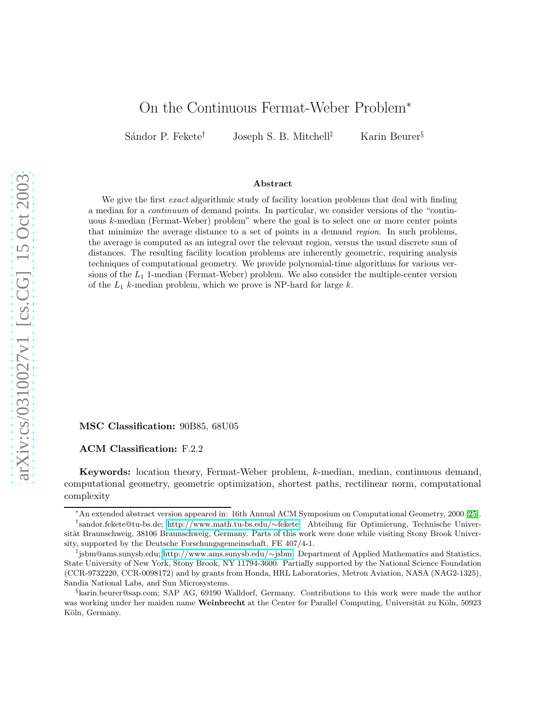# arXiv:cs/0310027v1 [cs.CG] 15 Oct 2003 [arXiv:cs/0310027v1 \[cs.CG\] 15 Oct 2003](http://arXiv.org/abs/cs/0310027v1)

# On the Continuous Fermat-Weber Problem<sup>∗</sup>

Sándor P. Fekete<sup>†</sup> Joseph S. B. Mitchell<sup>‡</sup> Karin Beurer<sup>§</sup>

#### Abstract

We give the first *exact* algorithmic study of facility location problems that deal with finding a median for a *continuum* of demand points. In particular, we consider versions of the "continuous k-median (Fermat-Weber) problem" where the goal is to select one or more center points that minimize the average distance to a set of points in a demand *region*. In such problems, the average is computed as an integral over the relevant region, versus the usual discrete sum of distances. The resulting facility location problems are inherently geometric, requiring analysis techniques of computational geometry. We provide polynomial-time algorithms for various versions of the  $L_1$  1-median (Fermat-Weber) problem. We also consider the multiple-center version of the  $L_1$  k-median problem, which we prove is NP-hard for large k.

MSC Classification: 90B85, 68U05

ACM Classification: F.2.2

Keywords: location theory, Fermat-Weber problem, k-median, median, continuous demand, computational geometry, geometric optimization, shortest paths, rectilinear norm, computational complexity

<sup>∗</sup>An extended abstract version appeared in: 16th Annual ACM Symposium on Computational Geometry, 2000 [\[25\]](#page-26-0).

<sup>†</sup>sandor.fekete@tu-bs.de; [http://www.math.tu-bs.edu/](http://www.math.tu-bs.edu/~fekete)∼fekete. Abteilung für Optimierung, Technische Universität Braunschweig, 38106 Braunschweig, Germany. Parts of this work were done while visiting Stony Brook University, supported by the Deutsche Forschungsgemeinschaft, FE 407/4-1.

<sup>‡</sup> jsbm@ams.sunysb.edu; [http://www.ams.sunysb.edu/](http://www.ams.sunysb.edu/~jsbm)∼jsbm. Department of Applied Mathematics and Statistics, State University of New York, Stony Brook, NY 11794-3600. Partially supported by the National Science Foundation (CCR-9732220, CCR-0098172) and by grants from Honda, HRL Laboratories, Metron Aviation, NASA (NAG2-1325), Sandia National Labs, and Sun Microsystems.

<sup>§</sup> karin.beurer@sap.com; SAP AG, 69190 Walldorf, Germany. Contributions to this work were made the author was working under her maiden name Weinbrecht at the Center for Parallel Computing, Universität zu Köln, 50923 Köln, Germany.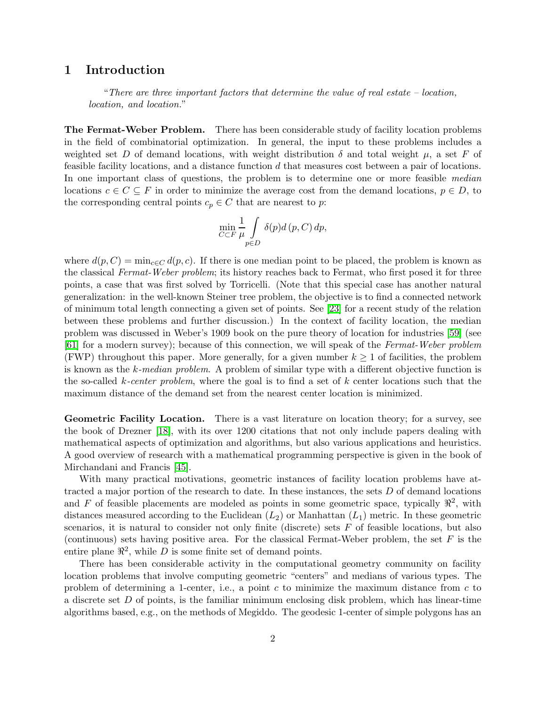# 1 Introduction

"*There are three important factors that determine the value of real estate – location, location, and location.*"

The Fermat-Weber Problem. There has been considerable study of facility location problems in the field of combinatorial optimization. In general, the input to these problems includes a weighted set D of demand locations, with weight distribution  $\delta$  and total weight  $\mu$ , a set F of feasible facility locations, and a distance function d that measures cost between a pair of locations. In one important class of questions, the problem is to determine one or more feasible *median* locations  $c \in C \subseteq F$  in order to minimize the average cost from the demand locations,  $p \in D$ , to the corresponding central points  $c_p \in C$  that are nearest to p:

$$
\min_{C \subset F} \frac{1}{\mu} \int_{p \in D} \delta(p) d(p, C) dp,
$$

where  $d(p, C) = \min_{c \in C} d(p, c)$ . If there is one median point to be placed, the problem is known as the classical *Fermat-Weber problem*; its history reaches back to Fermat, who first posed it for three points, a case that was first solved by Torricelli. (Note that this special case has another natural generalization: in the well-known Steiner tree problem, the objective is to find a connected network of minimum total length connecting a given set of points. See [\[23\]](#page-26-1) for a recent study of the relation between these problems and further discussion.) In the context of facility location, the median problem was discussed in Weber's 1909 book on the pure theory of location for industries [\[59\]](#page-28-0) (see [\[61\]](#page-28-1) for a modern survey); because of this connection, we will speak of the *Fermat-Weber problem* (FWP) throughout this paper. More generally, for a given number  $k \geq 1$  of facilities, the problem is known as the k*-median problem*. A problem of similar type with a different objective function is the so-called k*-center problem*, where the goal is to find a set of k center locations such that the maximum distance of the demand set from the nearest center location is minimized.

Geometric Facility Location. There is a vast literature on location theory; for a survey, see the book of Drezner [\[18\]](#page-26-2), with its over 1200 citations that not only include papers dealing with mathematical aspects of optimization and algorithms, but also various applications and heuristics. A good overview of research with a mathematical programming perspective is given in the book of Mirchandani and Francis [\[45\]](#page-27-0).

With many practical motivations, geometric instances of facility location problems have attracted a major portion of the research to date. In these instances, the sets  $D$  of demand locations and F of feasible placements are modeled as points in some geometric space, typically  $\mathbb{R}^2$ , with distances measured according to the Euclidean  $(L_2)$  or Manhattan  $(L_1)$  metric. In these geometric scenarios, it is natural to consider not only finite (discrete) sets  $F$  of feasible locations, but also (continuous) sets having positive area. For the classical Fermat-Weber problem, the set  $F$  is the entire plane  $\mathbb{R}^2$ , while D is some finite set of demand points.

There has been considerable activity in the computational geometry community on facility location problems that involve computing geometric "centers" and medians of various types. The problem of determining a 1-center, i.e., a point c to minimize the maximum distance from  $c$  to a discrete set  $D$  of points, is the familiar minimum enclosing disk problem, which has linear-time algorithms based, e.g., on the methods of Megiddo. The geodesic 1-center of simple polygons has an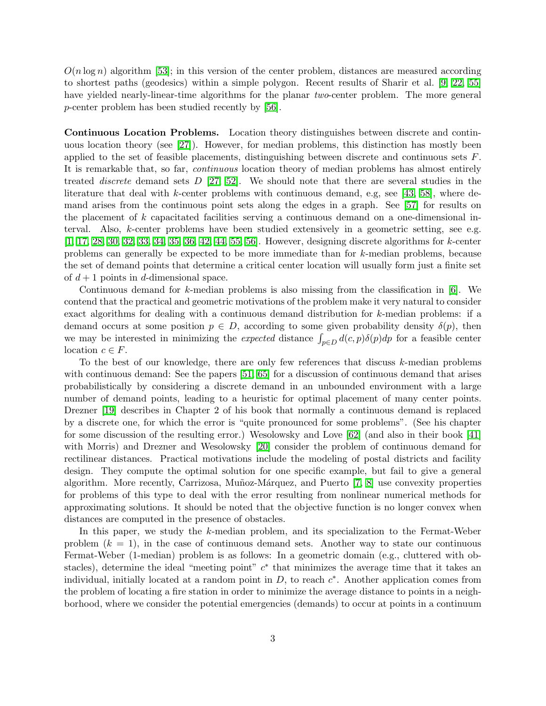$O(n \log n)$  algorithm [\[53\]](#page-28-2); in this version of the center problem, distances are measured according to shortest paths (geodesics) within a simple polygon. Recent results of Sharir et al. [\[9,](#page-25-0) [22,](#page-26-3) [55\]](#page-28-3) have yielded nearly-linear-time algorithms for the planar *two*-center problem. The more general p-center problem has been studied recently by [\[56\]](#page-28-4).

Continuous Location Problems. Location theory distinguishes between discrete and continuous location theory (see [\[27\]](#page-26-4)). However, for median problems, this distinction has mostly been applied to the set of feasible placements, distinguishing between discrete and continuous sets F. It is remarkable that, so far, *continuous* location theory of median problems has almost entirely treated *discrete* demand sets D [\[27,](#page-26-4) [52\]](#page-28-5). We should note that there are several studies in the literature that deal with k-center problems with continuous demand, e.g, see [\[43,](#page-27-1) [58\]](#page-28-6), where demand arises from the continuous point sets along the edges in a graph. See [\[57\]](#page-28-7) for results on the placement of k capacitated facilities serving a continuous demand on a one-dimensional interval. Also, k-center problems have been studied extensively in a geometric setting, see e.g. [\[1,](#page-25-1) [17,](#page-26-5) [28,](#page-26-6) [30,](#page-26-7) [32,](#page-26-8) [33,](#page-26-9) [34,](#page-27-2) [35,](#page-27-3) [36,](#page-27-4) [42,](#page-27-5) [44,](#page-27-6) [55,](#page-28-3) [56\]](#page-28-4). However, designing discrete algorithms for k-center problems can generally be expected to be more immediate than for k-median problems, because the set of demand points that determine a critical center location will usually form just a finite set of  $d+1$  points in d-dimensional space.

Continuous demand for k-median problems is also missing from the classification in  $[6]$ . We contend that the practical and geometric motivations of the problem make it very natural to consider exact algorithms for dealing with a continuous demand distribution for k-median problems: if a demand occurs at some position  $p \in D$ , according to some given probability density  $\delta(p)$ , then we may be interested in minimizing the *expected* distance  $\int_{p\in D} d(c, p)\delta(p)dp$  for a feasible center location  $c \in F$ .

To the best of our knowledge, there are only few references that discuss k-median problems with continuous demand: See the papers [\[51,](#page-28-8) [65\]](#page-28-9) for a discussion of continuous demand that arises probabilistically by considering a discrete demand in an unbounded environment with a large number of demand points, leading to a heuristic for optimal placement of many center points. Drezner [\[19\]](#page-26-10) describes in Chapter 2 of his book that normally a continuous demand is replaced by a discrete one, for which the error is "quite pronounced for some problems". (See his chapter for some discussion of the resulting error.) Wesolowsky and Love [\[62\]](#page-28-10) (and also in their book [\[41\]](#page-27-7) with Morris) and Drezner and Wesolowsky [\[20\]](#page-26-11) consider the problem of continuous demand for rectilinear distances. Practical motivations include the modeling of postal districts and facility design. They compute the optimal solution for one specific example, but fail to give a general algorithm. More recently, Carrizosa, Muñoz-Márquez, and Puerto [\[7,](#page-25-3) [8\]](#page-25-4) use convexity properties for problems of this type to deal with the error resulting from nonlinear numerical methods for approximating solutions. It should be noted that the objective function is no longer convex when distances are computed in the presence of obstacles.

In this paper, we study the k-median problem, and its specialization to the Fermat-Weber problem  $(k = 1)$ , in the case of continuous demand sets. Another way to state our continuous Fermat-Weber (1-median) problem is as follows: In a geometric domain (e.g., cluttered with obstacles), determine the ideal "meeting point"  $c^*$  that minimizes the average time that it takes an individual, initially located at a random point in  $D$ , to reach  $c^*$ . Another application comes from the problem of locating a fire station in order to minimize the average distance to points in a neighborhood, where we consider the potential emergencies (demands) to occur at points in a continuum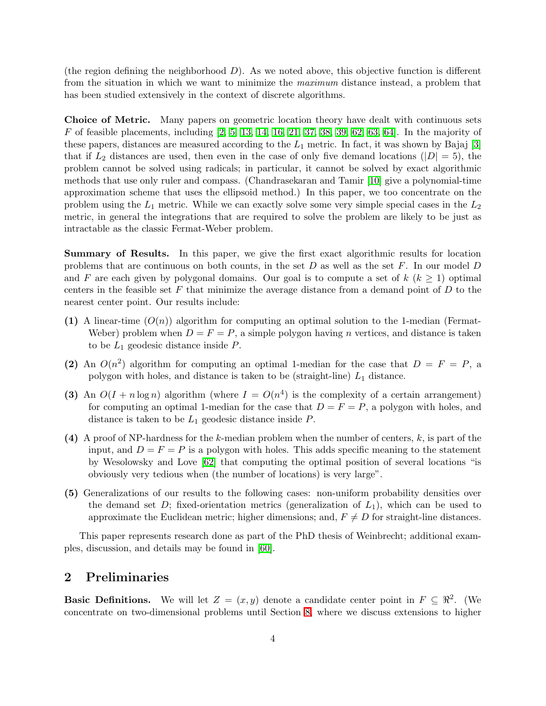(the region defining the neighborhood  $D$ ). As we noted above, this objective function is different from the situation in which we want to minimize the *maximum* distance instead, a problem that has been studied extensively in the context of discrete algorithms.

Choice of Metric. Many papers on geometric location theory have dealt with continuous sets  $F$  of feasible placements, including  $[2, 5, 13, 14, 16, 21, 37, 38, 39, 62, 63, 64]$  $[2, 5, 13, 14, 16, 21, 37, 38, 39, 62, 63, 64]$  $[2, 5, 13, 14, 16, 21, 37, 38, 39, 62, 63, 64]$  $[2, 5, 13, 14, 16, 21, 37, 38, 39, 62, 63, 64]$  $[2, 5, 13, 14, 16, 21, 37, 38, 39, 62, 63, 64]$  $[2, 5, 13, 14, 16, 21, 37, 38, 39, 62, 63, 64]$  $[2, 5, 13, 14, 16, 21, 37, 38, 39, 62, 63, 64]$  $[2, 5, 13, 14, 16, 21, 37, 38, 39, 62, 63, 64]$  $[2, 5, 13, 14, 16, 21, 37, 38, 39, 62, 63, 64]$  $[2, 5, 13, 14, 16, 21, 37, 38, 39, 62, 63, 64]$  $[2, 5, 13, 14, 16, 21, 37, 38, 39, 62, 63, 64]$  $[2, 5, 13, 14, 16, 21, 37, 38, 39, 62, 63, 64]$ . In the majority of these papers, distances are measured according to the  $L_1$  metric. In fact, it was shown by Bajaj [\[3\]](#page-25-10) that if  $L_2$  distances are used, then even in the case of only five demand locations ( $|D| = 5$ ), the problem cannot be solved using radicals; in particular, it cannot be solved by exact algorithmic methods that use only ruler and compass. (Chandrasekaran and Tamir [\[10\]](#page-25-11) give a polynomial-time approximation scheme that uses the ellipsoid method.) In this paper, we too concentrate on the problem using the  $L_1$  metric. While we can exactly solve some very simple special cases in the  $L_2$ metric, in general the integrations that are required to solve the problem are likely to be just as intractable as the classic Fermat-Weber problem.

Summary of Results. In this paper, we give the first exact algorithmic results for location problems that are continuous on both counts, in the set  $D$  as well as the set  $F$ . In our model  $D$ and F are each given by polygonal domains. Our goal is to compute a set of  $k$  ( $k \geq 1$ ) optimal centers in the feasible set  $F$  that minimize the average distance from a demand point of  $D$  to the nearest center point. Our results include:

- (1) A linear-time  $(O(n))$  algorithm for computing an optimal solution to the 1-median (Fermat-Weber) problem when  $D = F = P$ , a simple polygon having n vertices, and distance is taken to be  $L_1$  geodesic distance inside  $P$ .
- (2) An  $O(n^2)$  algorithm for computing an optimal 1-median for the case that  $D = F = P$ , a polygon with holes, and distance is taken to be (straight-line)  $L_1$  distance.
- (3) An  $O(I + n \log n)$  algorithm (where  $I = O(n^4)$  is the complexity of a certain arrangement) for computing an optimal 1-median for the case that  $D = F = P$ , a polygon with holes, and distance is taken to be  $L_1$  geodesic distance inside  $P$ .
- (4) A proof of NP-hardness for the k-median problem when the number of centers,  $k$ , is part of the input, and  $D = F = P$  is a polygon with holes. This adds specific meaning to the statement by Wesolowsky and Love [\[62\]](#page-28-10) that computing the optimal position of several locations "is obviously very tedious when (the number of locations) is very large".
- (5) Generalizations of our results to the following cases: non-uniform probability densities over the demand set  $D$ ; fixed-orientation metrics (generalization of  $L_1$ ), which can be used to approximate the Euclidean metric; higher dimensions; and,  $F \neq D$  for straight-line distances.

This paper represents research done as part of the PhD thesis of Weinbrecht; additional examples, discussion, and details may be found in [\[60\]](#page-28-13).

# <span id="page-3-0"></span>2 Preliminaries

**Basic Definitions.** We will let  $Z = (x, y)$  denote a candidate center point in  $F \subseteq \mathbb{R}^2$ . (We concentrate on two-dimensional problems until Section [8,](#page-23-0) where we discuss extensions to higher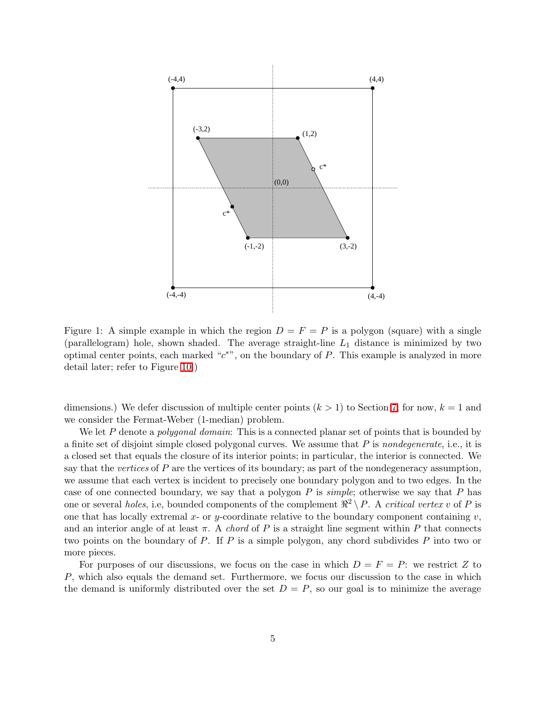

<span id="page-4-0"></span>Figure 1: A simple example in which the region  $D = F = P$  is a polygon (square) with a single (parallelogram) hole, shown shaded. The average straight-line  $L_1$  distance is minimized by two optimal center points, each marked " $c^*$ ", on the boundary of P. This example is analyzed in more detail later; refer to Figure [10.](#page-14-0))

dimensions.) We defer discussion of multiple center points  $(k > 1)$  to Section [7;](#page-20-0) for now,  $k = 1$  and we consider the Fermat-Weber (1-median) problem.

We let P denote a *polygonal domain*: This is a connected planar set of points that is bounded by a finite set of disjoint simple closed polygonal curves. We assume that P is *nondegenerate*, i.e., it is a closed set that equals the closure of its interior points; in particular, the interior is connected. We say that the *vertices* of P are the vertices of its boundary; as part of the nondegeneracy assumption, we assume that each vertex is incident to precisely one boundary polygon and to two edges. In the case of one connected boundary, we say that a polygon P is *simple*; otherwise we say that P has one or several *holes*, i.e, bounded components of the complement  $\Re^2 \setminus P$ . A *critical vertex* v of P is one that has locally extremal x- or y-coordinate relative to the boundary component containing v, and an interior angle of at least  $\pi$ . A *chord* of P is a straight line segment within P that connects two points on the boundary of P. If P is a simple polygon, any chord subdivides P into two or more pieces.

For purposes of our discussions, we focus on the case in which  $D = F = P$ : we restrict Z to P, which also equals the demand set. Furthermore, we focus our discussion to the case in which the demand is uniformly distributed over the set  $D = P$ , so our goal is to minimize the average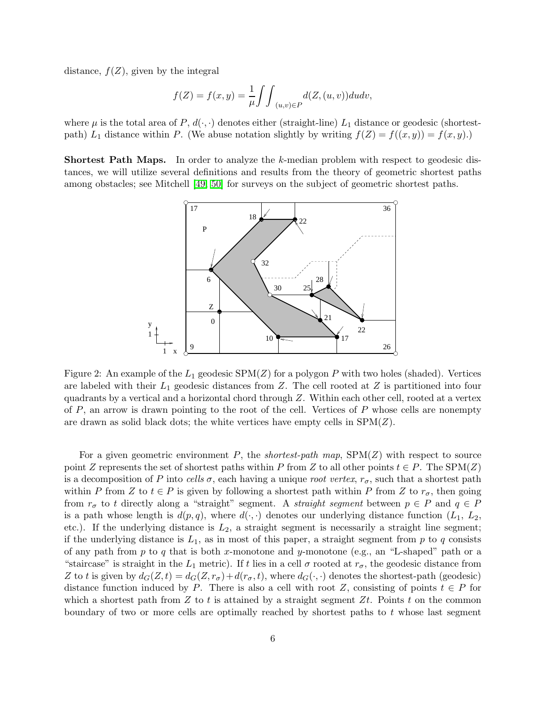distance,  $f(Z)$ , given by the integral

$$
f(Z) = f(x, y) = \frac{1}{\mu} \int \int_{(u,v)\in P} d(Z, (u, v)) du dv,
$$

where  $\mu$  is the total area of P,  $d(\cdot, \cdot)$  denotes either (straight-line)  $L_1$  distance or geodesic (shortestpath)  $L_1$  distance within P. (We abuse notation slightly by writing  $f(Z) = f((x, y)) = f(x, y)$ .)

Shortest Path Maps. In order to analyze the k-median problem with respect to geodesic distances, we will utilize several definitions and results from the theory of geometric shortest paths among obstacles; see Mitchell [\[49,](#page-27-11) [50\]](#page-27-12) for surveys on the subject of geometric shortest paths.



<span id="page-5-0"></span>Figure 2: An example of the  $L_1$  geodesic SPM(Z) for a polygon P with two holes (shaded). Vertices are labeled with their  $L_1$  geodesic distances from Z. The cell rooted at Z is partitioned into four quadrants by a vertical and a horizontal chord through Z. Within each other cell, rooted at a vertex of  $P$ , an arrow is drawn pointing to the root of the cell. Vertices of  $P$  whose cells are nonempty are drawn as solid black dots; the white vertices have empty cells in  $SPM(Z)$ .

For a given geometric environment P, the *shortest-path map*, SPM(Z) with respect to source point Z represents the set of shortest paths within P from Z to all other points  $t \in P$ . The SPM(Z) is a decomposition of P into *cells*  $\sigma$ , each having a unique *root vertex*,  $r_{\sigma}$ , such that a shortest path within P from Z to  $t \in P$  is given by following a shortest path within P from Z to  $r_{\sigma}$ , then going from  $r_{\sigma}$  to t directly along a "straight" segment. A *straight segment* between  $p \in P$  and  $q \in P$ is a path whose length is  $d(p, q)$ , where  $d(\cdot, \cdot)$  denotes our underlying distance function  $(L_1, L_2,$ etc.). If the underlying distance is  $L_2$ , a straight segment is necessarily a straight line segment; if the underlying distance is  $L_1$ , as in most of this paper, a straight segment from p to q consists of any path from  $p$  to  $q$  that is both x-monotone and y-monotone (e.g., an "L-shaped" path or a "staircase" is straight in the  $L_1$  metric). If t lies in a cell  $\sigma$  rooted at  $r_{\sigma}$ , the geodesic distance from Z to t is given by  $d_G(Z, t) = d_G(Z, r_\sigma) + d(r_\sigma, t)$ , where  $d_G(\cdot, \cdot)$  denotes the shortest-path (geodesic) distance function induced by P. There is also a cell with root Z, consisting of points  $t \in P$  for which a shortest path from  $Z$  to  $t$  is attained by a straight segment  $Zt$ . Points  $t$  on the common boundary of two or more cells are optimally reached by shortest paths to  $t$  whose last segment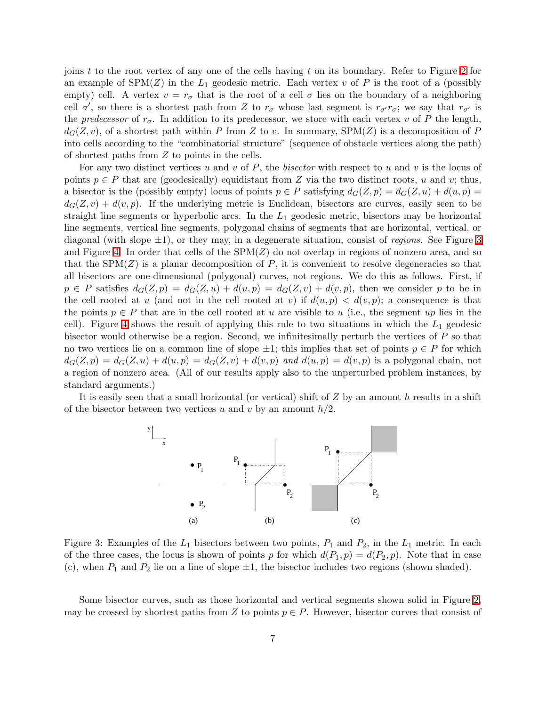joins t to the root vertex of any one of the cells having t on its boundary. Refer to Figure [2](#page-5-0) for an example of  $SPM(Z)$  in the  $L_1$  geodesic metric. Each vertex v of P is the root of a (possibly empty) cell. A vertex  $v = r_{\sigma}$  that is the root of a cell  $\sigma$  lies on the boundary of a neighboring cell  $\sigma'$ , so there is a shortest path from Z to  $r_{\sigma}$  whose last segment is  $r_{\sigma'}r_{\sigma}$ ; we say that  $r_{\sigma'}$  is the *predecessor* of  $r_{\sigma}$ . In addition to its predecessor, we store with each vertex v of P the length,  $d_G(Z, v)$ , of a shortest path within P from Z to v. In summary,  $SPM(Z)$  is a decomposition of P into cells according to the "combinatorial structure" (sequence of obstacle vertices along the path) of shortest paths from Z to points in the cells.

For any two distinct vertices u and v of P, the *bisector* with respect to u and v is the locus of points  $p \in P$  that are (geodesically) equidistant from Z via the two distinct roots, u and v; thus, a bisector is the (possibly empty) locus of points  $p \in P$  satisfying  $d_G(Z, p) = d_G(Z, u) + d(u, p) =$  $d_G(Z, v) + d(v, p)$ . If the underlying metric is Euclidean, bisectors are curves, easily seen to be straight line segments or hyperbolic arcs. In the  $L_1$  geodesic metric, bisectors may be horizontal line segments, vertical line segments, polygonal chains of segments that are horizontal, vertical, or diagonal (with slope ±1), or they may, in a degenerate situation, consist of *regions*. See Figure [3](#page-6-0) and Figure [4.](#page-7-0) In order that cells of the  $SPM(Z)$  do not overlap in regions of nonzero area, and so that the  $SPM(Z)$  is a planar decomposition of P, it is convenient to resolve degeneracies so that all bisectors are one-dimensional (polygonal) curves, not regions. We do this as follows. First, if  $p \in P$  satisfies  $d_G(Z, p) = d_G(Z, u) + d(u, p) = d_G(Z, v) + d(v, p)$ , then we consider p to be in the cell rooted at u (and not in the cell rooted at v) if  $d(u, p) < d(v, p)$ ; a consequence is that the points  $p \in P$  that are in the cell rooted at u are visible to u (i.e., the segment up lies in the cell). Figure [4](#page-7-0) shows the result of applying this rule to two situations in which the  $L_1$  geodesic bisector would otherwise be a region. Second, we infinitesimally perturb the vertices of  $P$  so that no two vertices lie on a common line of slope  $\pm 1$ ; this implies that set of points  $p \in P$  for which  $d_G(Z, p) = d_G(Z, u) + d(u, p) = d_G(Z, v) + d(v, p)$  and  $d(u, p) = d(v, p)$  is a polygonal chain, not a region of nonzero area. (All of our results apply also to the unperturbed problem instances, by standard arguments.)

It is easily seen that a small horizontal (or vertical) shift of  $Z$  by an amount h results in a shift of the bisector between two vertices u and v by an amount  $h/2$ .



<span id="page-6-0"></span>Figure 3: Examples of the  $L_1$  bisectors between two points,  $P_1$  and  $P_2$ , in the  $L_1$  metric. In each of the three cases, the locus is shown of points p for which  $d(P_1, p) = d(P_2, p)$ . Note that in case (c), when  $P_1$  and  $P_2$  lie on a line of slope  $\pm 1$ , the bisector includes two regions (shown shaded).

Some bisector curves, such as those horizontal and vertical segments shown solid in Figure [2,](#page-5-0) may be crossed by shortest paths from Z to points  $p \in P$ . However, bisector curves that consist of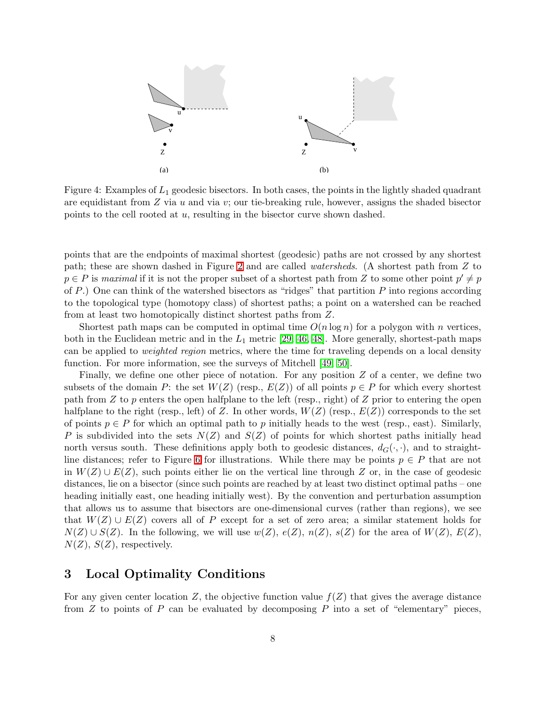

<span id="page-7-0"></span>Figure 4: Examples of  $L_1$  geodesic bisectors. In both cases, the points in the lightly shaded quadrant are equidistant from  $Z$  via  $u$  and via  $v$ ; our tie-breaking rule, however, assigns the shaded bisector points to the cell rooted at u, resulting in the bisector curve shown dashed.

points that are the endpoints of maximal shortest (geodesic) paths are not crossed by any shortest path; these are shown dashed in Figure [2](#page-5-0) and are called *watersheds*. (A shortest path from Z to  $p \in P$  is *maximal* if it is not the proper subset of a shortest path from Z to some other point  $p' \neq p$ of P.) One can think of the watershed bisectors as "ridges" that partition  $P$  into regions according to the topological type (homotopy class) of shortest paths; a point on a watershed can be reached from at least two homotopically distinct shortest paths from Z.

Shortest path maps can be computed in optimal time  $O(n \log n)$  for a polygon with n vertices, both in the Euclidean metric and in the  $L_1$  metric [\[29,](#page-26-13) [46,](#page-27-13) [48\]](#page-27-14). More generally, shortest-path maps can be applied to *weighted region* metrics, where the time for traveling depends on a local density function. For more information, see the surveys of Mitchell [\[49,](#page-27-11) [50\]](#page-27-12).

Finally, we define one other piece of notation. For any position  $Z$  of a center, we define two subsets of the domain P: the set  $W(Z)$  (resp.,  $E(Z)$ ) of all points  $p \in P$  for which every shortest path from  $Z$  to  $p$  enters the open halfplane to the left (resp., right) of  $Z$  prior to entering the open halfplane to the right (resp., left) of Z. In other words,  $W(Z)$  (resp.,  $E(Z)$ ) corresponds to the set of points  $p \in P$  for which an optimal path to p initially heads to the west (resp., east). Similarly, P is subdivided into the sets  $N(Z)$  and  $S(Z)$  of points for which shortest paths initially head north versus south. These definitions apply both to geodesic distances,  $d_G(\cdot, \cdot)$ , and to straight-line distances; refer to Figure [6](#page-9-0) for illustrations. While there may be points  $p \in P$  that are not in  $W(Z) \cup E(Z)$ , such points either lie on the vertical line through Z or, in the case of geodesic distances, lie on a bisector (since such points are reached by at least two distinct optimal paths – one heading initially east, one heading initially west). By the convention and perturbation assumption that allows us to assume that bisectors are one-dimensional curves (rather than regions), we see that  $W(Z) \cup E(Z)$  covers all of P except for a set of zero area; a similar statement holds for  $N(Z) \cup S(Z)$ . In the following, we will use  $w(Z), e(Z), n(Z), s(Z)$  for the area of  $W(Z), E(Z)$ ,  $N(Z)$ ,  $S(Z)$ , respectively.

## 3 Local Optimality Conditions

For any given center location Z, the objective function value  $f(Z)$  that gives the average distance from  $Z$  to points of  $P$  can be evaluated by decomposing  $P$  into a set of "elementary" pieces.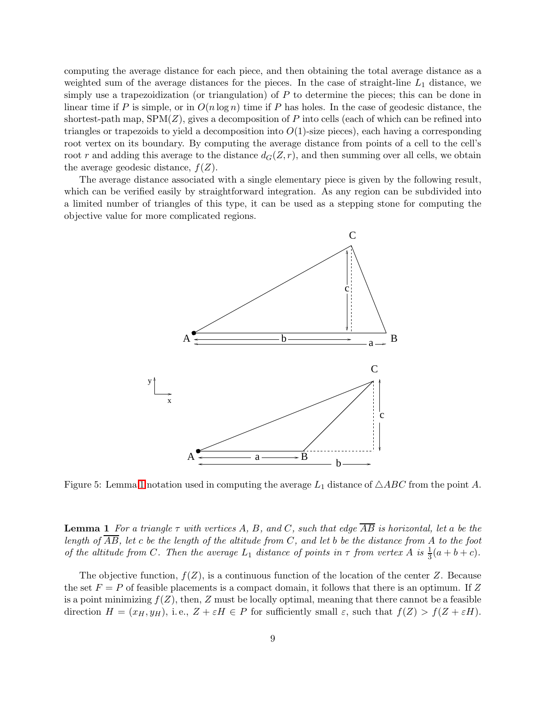computing the average distance for each piece, and then obtaining the total average distance as a weighted sum of the average distances for the pieces. In the case of straight-line  $L_1$  distance, we simply use a trapezoidization (or triangulation) of  $P$  to determine the pieces; this can be done in linear time if P is simple, or in  $O(n \log n)$  time if P has holes. In the case of geodesic distance, the shortest-path map,  $SPM(Z)$ , gives a decomposition of P into cells (each of which can be refined into triangles or trapezoids to yield a decomposition into  $O(1)$ -size pieces), each having a corresponding root vertex on its boundary. By computing the average distance from points of a cell to the cell's root r and adding this average to the distance  $d_G(Z, r)$ , and then summing over all cells, we obtain the average geodesic distance,  $f(Z)$ .

The average distance associated with a single elementary piece is given by the following result, which can be verified easily by straightforward integration. As any region can be subdivided into a limited number of triangles of this type, it can be used as a stepping stone for computing the objective value for more complicated regions.



<span id="page-8-0"></span>Figure 5: Lemma [1](#page-8-0) notation used in computing the average  $L_1$  distance of  $\triangle ABC$  from the point A.

**Lemma 1** For a triangle  $\tau$  with vertices A, B, and C, such that edge  $\overline{AB}$  is horizontal, let a be the *length of* AB*, let* c *be the length of the altitude from* C*, and let* b *be the distance from* A *to the foot of the altitude from* C. Then the average  $L_1$  *distance of points in*  $\tau$  *from vertex* A *is*  $\frac{1}{3}(a+b+c)$ *.* 

The objective function,  $f(Z)$ , is a continuous function of the location of the center Z. Because the set  $F = P$  of feasible placements is a compact domain, it follows that there is an optimum. If Z is a point minimizing  $f(Z)$ , then, Z must be locally optimal, meaning that there cannot be a feasible direction  $H = (x_H, y_H)$ , i.e.,  $Z + \varepsilon H \in P$  for sufficiently small  $\varepsilon$ , such that  $f(Z) > f(Z + \varepsilon H)$ .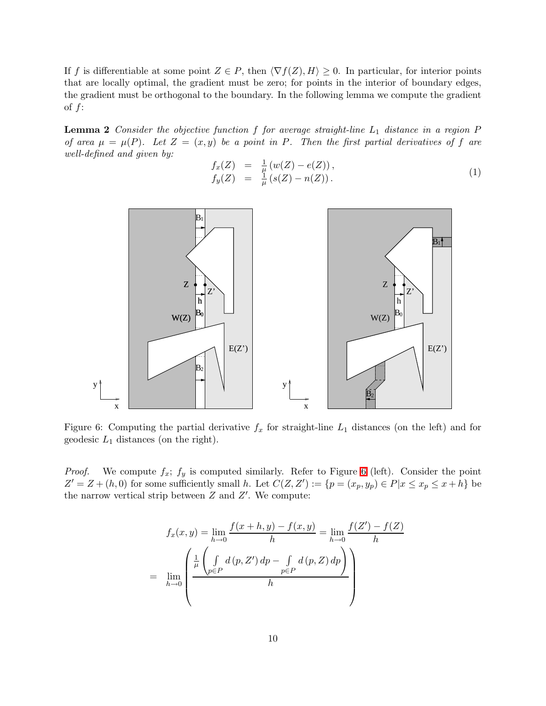If f is differentiable at some point  $Z \in P$ , then  $\langle \nabla f(Z), H \rangle \geq 0$ . In particular, for interior points that are locally optimal, the gradient must be zero; for points in the interior of boundary edges, the gradient must be orthogonal to the boundary. In the following lemma we compute the gradient of  $f$ :

<span id="page-9-1"></span>Lemma 2 *Consider the objective function* f for average straight-line  $L_1$  distance in a region P *of area*  $\mu = \mu(P)$ *. Let*  $Z = (x, y)$  *be a point in* P*. Then the first partial derivatives of* f are *well-defined and given by:*

$$
f_x(Z) = \frac{1}{\mu} (w(Z) - e(Z)), \n f_y(Z) = \frac{1}{\mu} (s(Z) - n(Z)).
$$
\n(1)



<span id="page-9-0"></span>Figure 6: Computing the partial derivative  $f_x$  for straight-line  $L_1$  distances (on the left) and for geodesic  $L_1$  distances (on the right).

*Proof.* We compute  $f_x$ ;  $f_y$  is computed similarly. Refer to Figure [6](#page-9-0) (left). Consider the point  $Z' = Z + (h, 0)$  for some sufficiently small h. Let  $C(Z, Z') := \{p = (x_p, y_p) \in P | x \le x_p \le x + h\}$  be the narrow vertical strip between  $Z$  and  $Z'$ . We compute:

$$
f_x(x, y) = \lim_{h \to 0} \frac{f(x + h, y) - f(x, y)}{h} = \lim_{h \to 0} \frac{f(Z') - f(Z)}{h}
$$

$$
= \lim_{h \to 0} \left( \frac{\frac{1}{\mu} \left( \int_{p \in P} d(p, Z') dp - \int_{p \in P} d(p, Z) dp \right)}{h} \right)
$$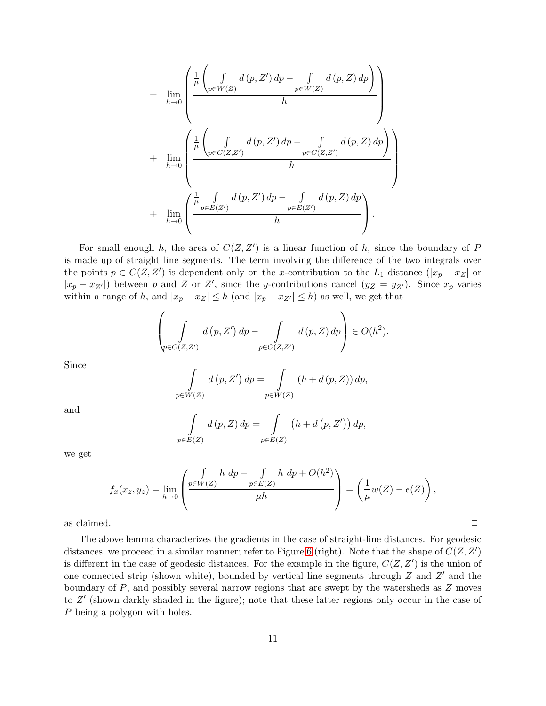$$
= \lim_{h\to 0} \left( \frac{\frac{1}{\mu} \left( \int_{p\in W(Z)} d(p, Z') dp - \int_{p\in W(Z)} d(p, Z) dp \right)}{h} \right) + \lim_{h\to 0} \left( \frac{\frac{1}{\mu} \left( \int_{p\in C(Z,Z')} d(p, Z') dp - \int_{p\in C(Z,Z')} d(p, Z) dp \right)}{h} \right) + \lim_{h\to 0} \left( \frac{\frac{1}{\mu} \int_{p\in E(Z')} d(p, Z') dp - \int_{p\in E(Z')} d(p, Z) dp}{h} \right).
$$

For small enough h, the area of  $C(Z, Z')$  is a linear function of h, since the boundary of P is made up of straight line segments. The term involving the difference of the two integrals over the points  $p \in C(Z, Z')$  is dependent only on the x-contribution to the  $L_1$  distance  $(|x_p - x_Z|)$  or  $|x_p - x_{Z'}|$  between p and Z or Z', since the y-contributions cancel  $(y_Z = y_{Z'})$ . Since  $x_p$  varies within a range of h, and  $|x_p - x_z| \leq h$  (and  $|x_p - x_{z'}| \leq h$ ) as well, we get that

$$
\left(\int\limits_{\varphi \in C(Z,Z')} d(p,Z') dp - \int\limits_{p \in C(Z,Z')} d(p,Z) dp\right) \in O(h^2).
$$

Since

$$
\int_{p \in W(Z)} d(p, Z') dp = \int_{p \in W(Z)} (h + d(p, Z)) dp,
$$

and

$$
\int_{p\in E(Z)} d(p, Z) dp = \int_{p\in E(Z)} (h + d(p, Z')) dp,
$$

we get

$$
f_x(x_z, y_z) = \lim_{h \to 0} \left( \frac{\int_{p \in W(Z)} h \, dp - \int_{p \in E(Z)} h \, dp + O(h^2)}{\mu h} \right) = \left( \frac{1}{\mu} w(Z) - e(Z) \right),
$$

as claimed.  $\Box$ 

The above lemma characterizes the gradients in the case of straight-line distances. For geodesic distances, we proceed in a similar manner; refer to Figure [6](#page-9-0) (right). Note that the shape of  $C(Z, Z')$ is different in the case of geodesic distances. For the example in the figure,  $C(Z, Z')$  is the union of one connected strip (shown white), bounded by vertical line segments through  $Z$  and  $Z'$  and the boundary of  $P$ , and possibly several narrow regions that are swept by the watersheds as  $Z$  moves to Z' (shown darkly shaded in the figure); note that these latter regions only occur in the case of P being a polygon with holes.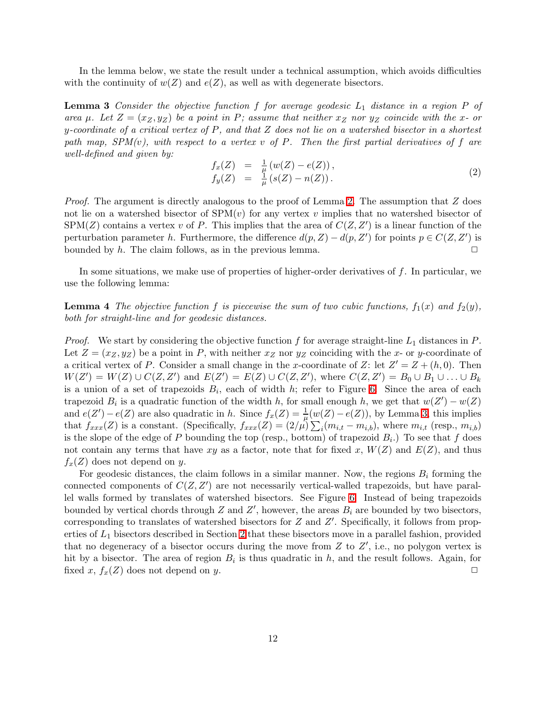<span id="page-11-0"></span>In the lemma below, we state the result under a technical assumption, which avoids difficulties with the continuity of  $w(Z)$  and  $e(Z)$ , as well as with degenerate bisectors.

**Lemma 3** Consider the objective function f for average geodesic  $L_1$  distance in a region P of *area*  $\mu$ *. Let*  $Z = (x_Z, y_Z)$  *be a point in* P; assume that neither  $x_Z$  *nor*  $y_Z$  *coincide with the* x- or y*-coordinate of a critical vertex of* P*, and that* Z *does not lie on a watershed bisector in a shortest path map, SPM(*v*), with respect to a vertex* v *of* P*. Then the first partial derivatives of* f *are well-defined and given by:*

$$
f_x(Z) = \frac{1}{\mu} (w(Z) - e(Z)), \n f_y(Z) = \frac{1}{\mu} (s(Z) - n(Z)).
$$
\n(2)

*Proof.* The argument is directly analogous to the proof of Lemma [2.](#page-9-1) The assumption that Z does not lie on a watershed bisector of  $SPM(v)$  for any vertex v implies that no watershed bisector of  $SPM(Z)$  contains a vertex v of P. This implies that the area of  $C(Z, Z')$  is a linear function of the perturbation parameter h. Furthermore, the difference  $d(p, Z) - d(p, Z')$  for points  $p \in C(Z, Z')$  is bounded by h. The claim follows, as in the previous lemma.  $\Box$ 

<span id="page-11-1"></span>In some situations, we make use of properties of higher-order derivatives of  $f$ . In particular, we use the following lemma:

**Lemma 4** The objective function f is piecewise the sum of two cubic functions,  $f_1(x)$  and  $f_2(y)$ , *both for straight-line and for geodesic distances.*

*Proof.* We start by considering the objective function f for average straight-line  $L_1$  distances in P. Let  $Z = (x_Z, y_Z)$  be a point in P, with neither  $x_Z$  nor  $y_Z$  coinciding with the x- or y-coordinate of a critical vertex of P. Consider a small change in the x-coordinate of Z: let  $Z' = Z + (h, 0)$ . Then  $W(Z') = W(Z) \cup C(Z, Z')$  and  $E(Z') = E(Z) \cup C(Z, Z')$ , where  $C(Z, Z') = B_0 \cup B_1 \cup ... \cup B_k$ is a union of a set of trapezoids  $B_i$ , each of width h; refer to Figure [6.](#page-9-0) Since the area of each trapezoid  $B_i$  is a quadratic function of the width h, for small enough h, we get that  $w(Z') - w(Z)$ and  $e(Z') - e(Z)$  are also quadratic in h. Since  $f_x(Z) = \frac{1}{\mu}(w(Z) - e(Z))$ , by Lemma [3,](#page-11-0) this implies that  $f_{xxx}(Z)$  is a constant. (Specifically,  $f_{xxx}(Z) = (2/\mu) \sum_i (m_{i,t} - m_{i,b})$ , where  $m_{i,t}$  (resp.,  $m_{i,b}$ ) is the slope of the edge of P bounding the top (resp., bottom) of trapezoid  $B_i$ .) To see that f does not contain any terms that have xy as a factor, note that for fixed x,  $W(Z)$  and  $E(Z)$ , and thus  $f_x(Z)$  does not depend on y.

For geodesic distances, the claim follows in a similar manner. Now, the regions  $B_i$  forming the connected components of  $C(Z, Z')$  are not necessarily vertical-walled trapezoids, but have parallel walls formed by translates of watershed bisectors. See Figure [6.](#page-9-0) Instead of being trapezoids bounded by vertical chords through Z and Z', however, the areas  $B_i$  are bounded by two bisectors, corresponding to translates of watershed bisectors for Z and Z'. Specifically, it follows from properties of  $L_1$  bisectors described in Section [2](#page-3-0) that these bisectors move in a parallel fashion, provided that no degeneracy of a bisector occurs during the move from  $Z$  to  $Z'$ , i.e., no polygon vertex is hit by a bisector. The area of region  $B_i$  is thus quadratic in h, and the result follows. Again, for fixed x,  $f_x(Z)$  does not depend on y.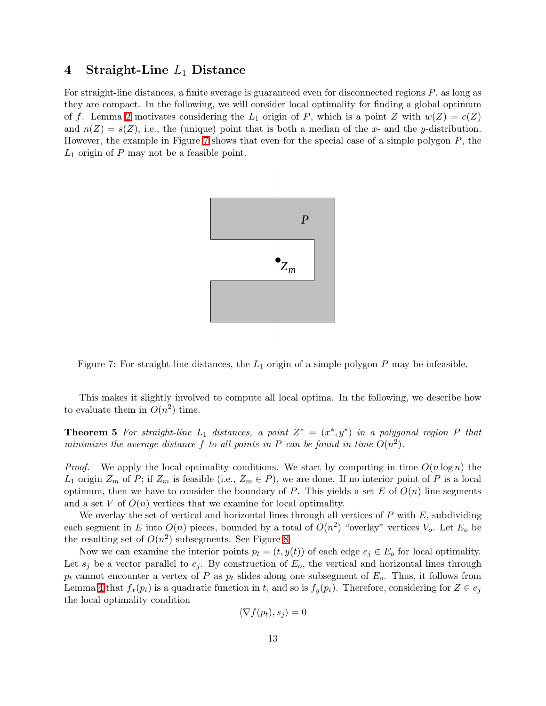## 4 Straight-Line  $L_1$  Distance

For straight-line distances, a finite average is guaranteed even for disconnected regions P, as long as they are compact. In the following, we will consider local optimality for finding a global optimum of f. Lemma [2](#page-9-1) motivates considering the  $L_1$  origin of P, which is a point Z with  $w(Z) = e(Z)$ and  $n(Z) = s(Z)$ , i.e., the (unique) point that is both a median of the x- and the y-distribution. However, the example in Figure [7](#page-12-0) shows that even for the special case of a simple polygon  $P$ , the  $L_1$  origin of  $P$  may not be a feasible point.



<span id="page-12-0"></span>Figure 7: For straight-line distances, the  $L_1$  origin of a simple polygon P may be infeasible.

This makes it slightly involved to compute all local optima. In the following, we describe how to evaluate them in  $O(n^2)$  time.

**Theorem 5** For straight-line  $L_1$  distances, a point  $Z^* = (x^*, y^*)$  in a polygonal region P that *minimizes the average distance* f to all points in P can be found in time  $O(n^2)$ .

*Proof.* We apply the local optimality conditions. We start by computing in time  $O(n \log n)$  the  $L_1$  origin  $Z_m$  of P; if  $Z_m$  is feasible (i.e.,  $Z_m \in P$ ), we are done. If no interior point of P is a local optimum, then we have to consider the boundary of P. This yields a set E of  $O(n)$  line segments and a set  $V$  of  $O(n)$  vertices that we examine for local optimality.

We overlay the set of vertical and horizontal lines through all vertices of  $P$  with  $E$ , subdividing each segment in E into  $O(n)$  pieces, bounded by a total of  $O(n^2)$  "overlay" vertices  $V_o$ . Let  $E_o$  be the resulting set of  $O(n^2)$  subsegments. See Figure [8.](#page-13-0)

Now we can examine the interior points  $p_t = (t, y(t))$  of each edge  $e_i \in E_0$  for local optimality. Let  $s_i$  be a vector parallel to  $e_i$ . By construction of  $E_o$ , the vertical and horizontal lines through  $p_t$  cannot encounter a vertex of P as  $p_t$  slides along one subsegment of  $E_o$ . Thus, it follows from Lemma [4](#page-11-1) that  $f_x(p_t)$  is a quadratic function in t, and so is  $f_y(p_t)$ . Therefore, considering for  $Z \in e_i$ the local optimality condition

$$
\langle \nabla f(p_t), s_j \rangle = 0
$$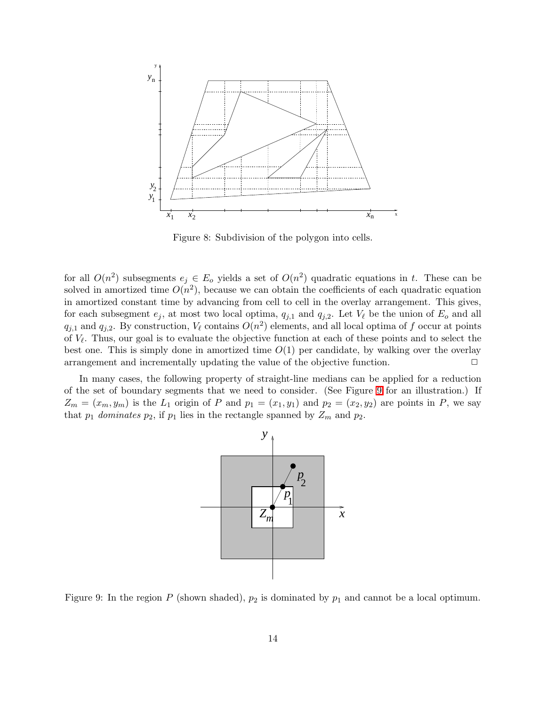

<span id="page-13-0"></span>Figure 8: Subdivision of the polygon into cells.

for all  $O(n^2)$  subsegments  $e_j \in E_o$  yields a set of  $O(n^2)$  quadratic equations in t. These can be solved in amortized time  $O(n^2)$ , because we can obtain the coefficients of each quadratic equation in amortized constant time by advancing from cell to cell in the overlay arrangement. This gives, for each subsegment  $e_j$ , at most two local optima,  $q_{j,1}$  and  $q_{j,2}$ . Let  $V_\ell$  be the union of  $E_o$  and all  $q_{j,1}$  and  $q_{j,2}$ . By construction,  $V_{\ell}$  contains  $O(n^2)$  elements, and all local optima of f occur at points of  $V_{\ell}$ . Thus, our goal is to evaluate the objective function at each of these points and to select the best one. This is simply done in amortized time  $O(1)$  per candidate, by walking over the overlay arrangement and incrementally updating the value of the objective function.  $\Box$ 

In many cases, the following property of straight-line medians can be applied for a reduction of the set of boundary segments that we need to consider. (See Figure [9](#page-13-1) for an illustration.) If  $Z_m = (x_m, y_m)$  is the  $L_1$  origin of P and  $p_1 = (x_1, y_1)$  and  $p_2 = (x_2, y_2)$  are points in P, we say that  $p_1$  *dominates*  $p_2$ , if  $p_1$  lies in the rectangle spanned by  $Z_m$  and  $p_2$ .



<span id="page-13-1"></span>Figure 9: In the region P (shown shaded),  $p_2$  is dominated by  $p_1$  and cannot be a local optimum.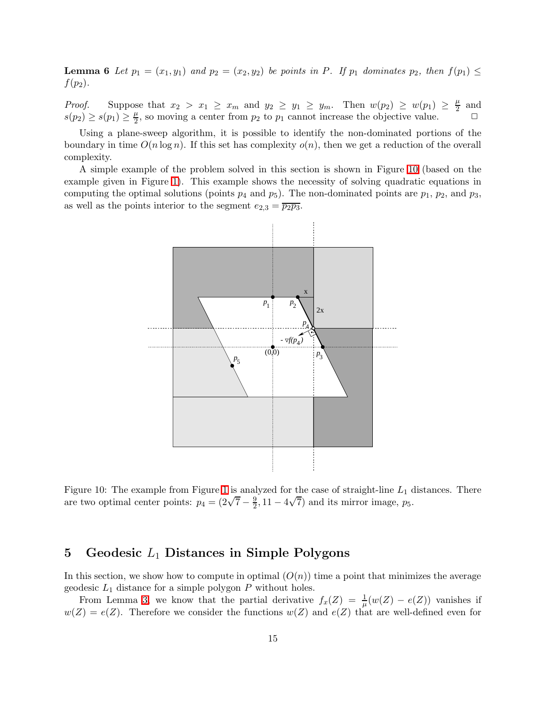**Lemma 6** Let  $p_1 = (x_1, y_1)$  and  $p_2 = (x_2, y_2)$  be points in P. If  $p_1$  dominates  $p_2$ , then  $f(p_1) \leq$  $f(p_2)$ .

*Proof.* Suppose that  $x_2 > x_1 \geq x_m$  and  $y_2 \geq y_1 \geq y_m$ . Then  $w(p_2) \geq w(p_1) \geq \frac{\mu}{2}$  $\frac{\mu}{2}$  and  $s(p_2) \geq s(p_1) \geq \frac{\mu}{2}$  $\frac{\mu}{2}$ , so moving a center from  $p_2$  to  $p_1$  cannot increase the objective value.  $\Box$ 

Using a plane-sweep algorithm, it is possible to identify the non-dominated portions of the boundary in time  $O(n \log n)$ . If this set has complexity  $o(n)$ , then we get a reduction of the overall complexity.

A simple example of the problem solved in this section is shown in Figure [10](#page-14-0) (based on the example given in Figure [1\)](#page-4-0). This example shows the necessity of solving quadratic equations in computing the optimal solutions (points  $p_4$  and  $p_5$ ). The non-dominated points are  $p_1$ ,  $p_2$ , and  $p_3$ , as well as the points interior to the segment  $e_{2,3} = \overline{p_2 p_3}$ .



<span id="page-14-0"></span>Figure [1](#page-4-0)0: The example from Figure 1 is analyzed for the case of straight-line  $L_1$  distances. There are two optimal center points:  $p_4 = (2\sqrt{7} - \frac{9}{2})$  $\frac{9}{2}$ , 11 – 4 $\sqrt{7}$ ) and its mirror image,  $p_5$ .

# 5 Geodesic  $L_1$  Distances in Simple Polygons

In this section, we show how to compute in optimal  $(O(n))$  time a point that minimizes the average geodesic  $L_1$  distance for a simple polygon  $P$  without holes.

From Lemma [3,](#page-11-0) we know that the partial derivative  $f_x(Z) = \frac{1}{\mu}(w(Z) - e(Z))$  vanishes if  $w(Z) = e(Z)$ . Therefore we consider the functions  $w(Z)$  and  $e(Z)$  that are well-defined even for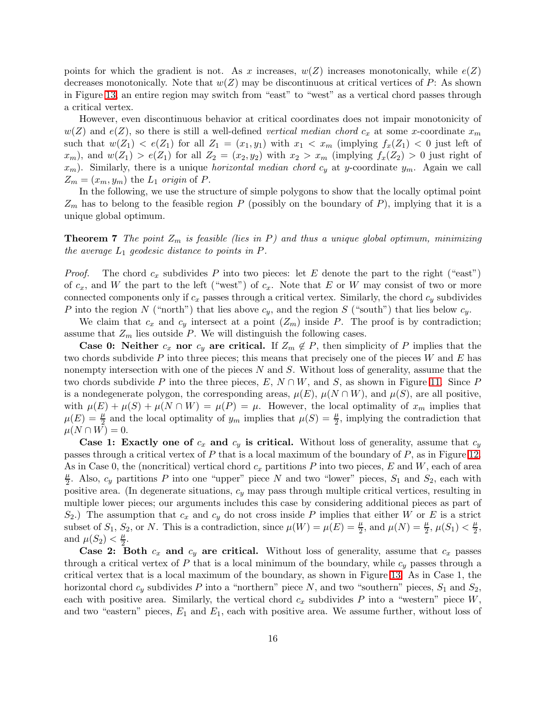points for which the gradient is not. As x increases,  $w(Z)$  increases monotonically, while  $e(Z)$ decreases monotonically. Note that  $w(Z)$  may be discontinuous at critical vertices of P: As shown in Figure [13,](#page-17-0) an entire region may switch from "east" to "west" as a vertical chord passes through a critical vertex.

However, even discontinuous behavior at critical coordinates does not impair monotonicity of  $w(Z)$  and  $e(Z)$ , so there is still a well-defined *vertical median chord*  $c_x$  at some x-coordinate  $x_m$ such that  $w(Z_1) < e(Z_1)$  for all  $Z_1 = (x_1, y_1)$  with  $x_1 < x_m$  (implying  $f_x(Z_1) < 0$  just left of  $x_m$ , and  $w(Z_1) > e(Z_1)$  for all  $Z_2 = (x_2, y_2)$  with  $x_2 > x_m$  (implying  $f_x(Z_2) > 0$  just right of  $x_m$ ). Similarly, there is a unique *horizontal median chord*  $c_y$  at y-coordinate  $y_m$ . Again we call  $Z_m = (x_m, y_m)$  the  $L_1$  *origin* of P.

In the following, we use the structure of simple polygons to show that the locally optimal point  $Z_m$  has to belong to the feasible region P (possibly on the boundary of P), implying that it is a unique global optimum.

<span id="page-15-0"></span>**Theorem 7** *The point*  $Z_m$  *is feasible (lies in P) and thus a unique global optimum, minimizing the average*  $L_1$  *geodesic distance to points in P.* 

*Proof.* The chord  $c_x$  subdivides P into two pieces: let E denote the part to the right ("east") of  $c_x$ , and W the part to the left ("west") of  $c_x$ . Note that E or W may consist of two or more connected components only if  $c_x$  passes through a critical vertex. Similarly, the chord  $c_y$  subdivides P into the region N ("north") that lies above  $c_y$ , and the region S ("south") that lies below  $c_y$ .

We claim that  $c_x$  and  $c_y$  intersect at a point  $(Z_m)$  inside P. The proof is by contradiction; assume that  $Z_m$  lies outside P. We will distinguish the following cases.

**Case 0: Neither**  $c_x$  nor  $c_y$  are critical. If  $Z_m \notin P$ , then simplicity of P implies that the two chords subdivide P into three pieces; this means that precisely one of the pieces  $W$  and  $E$  has nonempty intersection with one of the pieces  $N$  and  $S$ . Without loss of generality, assume that the two chords subdivide P into the three pieces,  $E, N \cap W$ , and S, as shown in Figure [11.](#page-16-0) Since P is a nondegenerate polygon, the corresponding areas,  $\mu(E)$ ,  $\mu(N \cap W)$ , and  $\mu(S)$ , are all positive, with  $\mu(E) + \mu(S) + \mu(N \cap W) = \mu(P) = \mu$ . However, the local optimality of  $x_m$  implies that  $\mu(E) = \frac{\mu}{2}$  and the local optimality of  $y_m$  implies that  $\mu(S) = \frac{\mu}{2}$ , implying the contradiction that  $\mu(N \cap W) = 0.$ 

Case 1: Exactly one of  $c_x$  and  $c_y$  is critical. Without loss of generality, assume that  $c_y$ passes through a critical vertex of P that is a local maximum of the boundary of P, as in Figure [12.](#page-16-1) As in Case 0, the (noncritical) vertical chord  $c_x$  partitions P into two pieces, E and W, each of area  $\mu$  $\frac{\mu}{2}$ . Also,  $c_y$  partitions P into one "upper" piece N and two "lower" pieces,  $S_1$  and  $S_2$ , each with positive area. (In degenerate situations,  $c_y$  may pass through multiple critical vertices, resulting in multiple lower pieces; our arguments includes this case by considering additional pieces as part of  $S_2$ .) The assumption that  $c_x$  and  $c_y$  do not cross inside P implies that either W or E is a strict subset of  $S_1$ ,  $S_2$ , or N. This is a contradiction, since  $\mu(W) = \mu(E) = \frac{\mu}{2}$ , and  $\mu(N) = \frac{\mu}{2}$ ,  $\mu(S_1) < \frac{\mu}{2}$  $\frac{\mu}{2}$ , and  $\mu(S_2) < \frac{\mu}{2}$  $\frac{\mu}{2}$ .

**Case 2: Both**  $c_x$  and  $c_y$  are critical. Without loss of generality, assume that  $c_x$  passes through a critical vertex of P that is a local minimum of the boundary, while  $c_y$  passes through a critical vertex that is a local maximum of the boundary, as shown in Figure [13.](#page-17-0) As in Case 1, the horizontal chord  $c_y$  subdivides P into a "northern" piece N, and two "southern" pieces,  $S_1$  and  $S_2$ , each with positive area. Similarly, the vertical chord  $c_x$  subdivides P into a "western" piece  $W$ , and two "eastern" pieces,  $E_1$  and  $E_1$ , each with positive area. We assume further, without loss of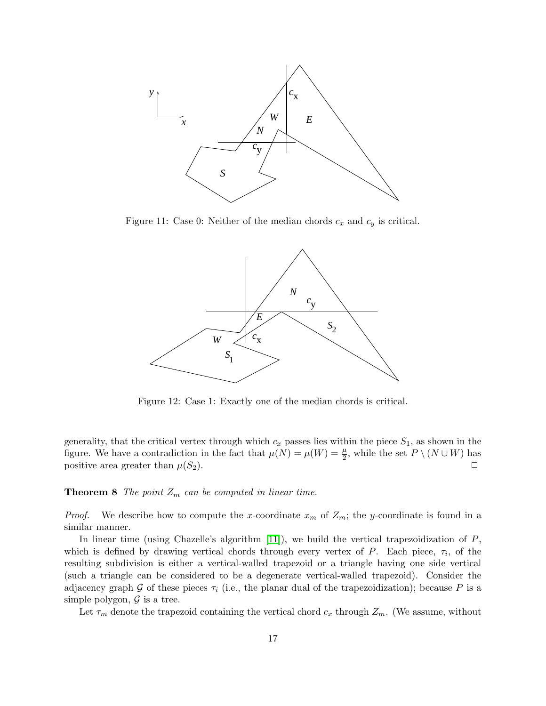

<span id="page-16-0"></span>Figure 11: Case 0: Neither of the median chords  $c_x$  and  $c_y$  is critical.



<span id="page-16-1"></span>Figure 12: Case 1: Exactly one of the median chords is critical.

generality, that the critical vertex through which  $c_x$  passes lies within the piece  $S_1$ , as shown in the figure. We have a contradiction in the fact that  $\mu(N) = \mu(W) = \frac{\mu}{2}$ , while the set  $P \setminus (N \cup W)$  has positive area greater than  $\mu(S_2)$ .

#### **Theorem 8** *The point*  $Z_m$  *can be computed in linear time.*

*Proof.* We describe how to compute the x-coordinate  $x_m$  of  $Z_m$ ; the y-coordinate is found in a similar manner.

In linear time (using Chazelle's algorithm  $[11]$ ), we build the vertical trapezoidization of  $P$ , which is defined by drawing vertical chords through every vertex of  $P$ . Each piece,  $\tau_i$ , of the resulting subdivision is either a vertical-walled trapezoid or a triangle having one side vertical (such a triangle can be considered to be a degenerate vertical-walled trapezoid). Consider the adjacency graph G of these pieces  $\tau_i$  (i.e., the planar dual of the trapezoidization); because P is a simple polygon,  $\mathcal G$  is a tree.

Let  $\tau_m$  denote the trapezoid containing the vertical chord  $c_x$  through  $Z_m$ . (We assume, without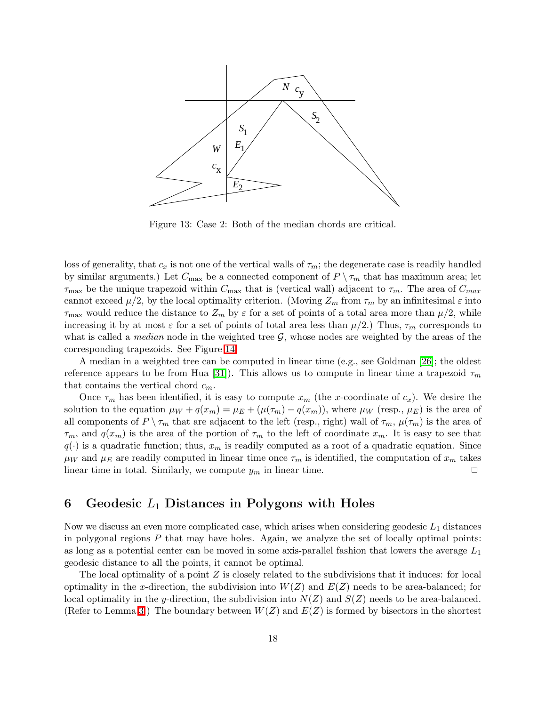

<span id="page-17-0"></span>Figure 13: Case 2: Both of the median chords are critical.

loss of generality, that  $c_x$  is not one of the vertical walls of  $\tau_m$ ; the degenerate case is readily handled by similar arguments.) Let  $C_{\text{max}}$  be a connected component of  $P \setminus \tau_m$  that has maximum area; let  $\tau_{\text{max}}$  be the unique trapezoid within  $C_{\text{max}}$  that is (vertical wall) adjacent to  $\tau_m$ . The area of  $C_{\text{max}}$ cannot exceed  $\mu/2$ , by the local optimality criterion. (Moving  $Z_m$  from  $\tau_m$  by an infinitesimal  $\varepsilon$  into  $\tau_{\text{max}}$  would reduce the distance to  $Z_m$  by  $\varepsilon$  for a set of points of a total area more than  $\mu/2$ , while increasing it by at most  $\varepsilon$  for a set of points of total area less than  $\mu/2$ .) Thus,  $\tau_m$  corresponds to what is called a *median* node in the weighted tree  $G$ , whose nodes are weighted by the areas of the corresponding trapezoids. See Figure [14.](#page-18-0)

A median in a weighted tree can be computed in linear time (e.g., see Goldman [\[26\]](#page-26-14); the oldest reference appears to be from Hua [\[31\]](#page-26-15)). This allows us to compute in linear time a trapezoid  $\tau_m$ that contains the vertical chord  $c_m$ .

Once  $\tau_m$  has been identified, it is easy to compute  $x_m$  (the x-coordinate of  $c_x$ ). We desire the solution to the equation  $\mu_W + q(x_m) = \mu_E + (\mu(\tau_m) - q(x_m))$ , where  $\mu_W$  (resp.,  $\mu_E$ ) is the area of all components of  $P \setminus \tau_m$  that are adjacent to the left (resp., right) wall of  $\tau_m$ ,  $\mu(\tau_m)$  is the area of  $\tau_m$ , and  $q(x_m)$  is the area of the portion of  $\tau_m$  to the left of coordinate  $x_m$ . It is easy to see that  $q(.)$  is a quadratic function; thus,  $x_m$  is readily computed as a root of a quadratic equation. Since  $\mu_W$  and  $\mu_E$  are readily computed in linear time once  $\tau_m$  is identified, the computation of  $x_m$  takes linear time in total. Similarly, we compute  $y_m$  in linear time.

# 6 Geodesic  $L_1$  Distances in Polygons with Holes

Now we discuss an even more complicated case, which arises when considering geodesic  $L_1$  distances in polygonal regions  $P$  that may have holes. Again, we analyze the set of locally optimal points: as long as a potential center can be moved in some axis-parallel fashion that lowers the average  $L_1$ geodesic distance to all the points, it cannot be optimal.

The local optimality of a point  $Z$  is closely related to the subdivisions that it induces: for local optimality in the x-direction, the subdivision into  $W(Z)$  and  $E(Z)$  needs to be area-balanced; for local optimality in the y-direction, the subdivision into  $N(Z)$  and  $S(Z)$  needs to be area-balanced. (Refer to Lemma [3.](#page-11-0)) The boundary between  $W(Z)$  and  $E(Z)$  is formed by bisectors in the shortest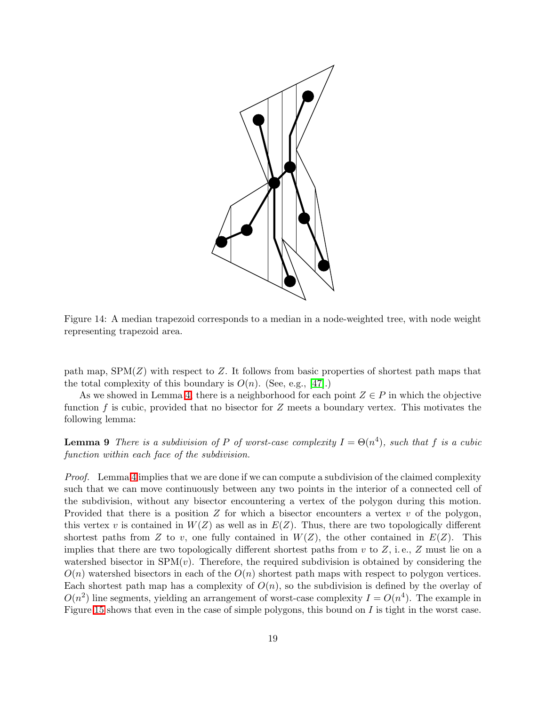

<span id="page-18-0"></span>Figure 14: A median trapezoid corresponds to a median in a node-weighted tree, with node weight representing trapezoid area.

path map,  $SPM(Z)$  with respect to Z. It follows from basic properties of shortest path maps that the total complexity of this boundary is  $O(n)$ . (See, e.g., [\[47\]](#page-27-15).)

As we showed in Lemma [4,](#page-11-1) there is a neighborhood for each point  $Z \in P$  in which the objective function f is cubic, provided that no bisector for  $Z$  meets a boundary vertex. This motivates the following lemma:

**Lemma 9** *There is a subdivision of* P *of worst-case complexity*  $I = \Theta(n^4)$ *, such that* f *is a cubic function within each face of the subdivision.*

*Proof.* Lemma [4](#page-11-1) implies that we are done if we can compute a subdivision of the claimed complexity such that we can move continuously between any two points in the interior of a connected cell of the subdivision, without any bisector encountering a vertex of the polygon during this motion. Provided that there is a position  $Z$  for which a bisector encounters a vertex  $v$  of the polygon, this vertex v is contained in  $W(Z)$  as well as in  $E(Z)$ . Thus, there are two topologically different shortest paths from Z to v, one fully contained in  $W(Z)$ , the other contained in  $E(Z)$ . This implies that there are two topologically different shortest paths from  $v$  to  $Z$ , i.e.,  $Z$  must lie on a watershed bisector in  $SPM(v)$ . Therefore, the required subdivision is obtained by considering the  $O(n)$  watershed bisectors in each of the  $O(n)$  shortest path maps with respect to polygon vertices. Each shortest path map has a complexity of  $O(n)$ , so the subdivision is defined by the overlay of  $O(n^2)$  line segments, yielding an arrangement of worst-case complexity  $I = O(n^4)$ . The example in Figure [15](#page-19-0) shows that even in the case of simple polygons, this bound on  $I$  is tight in the worst case.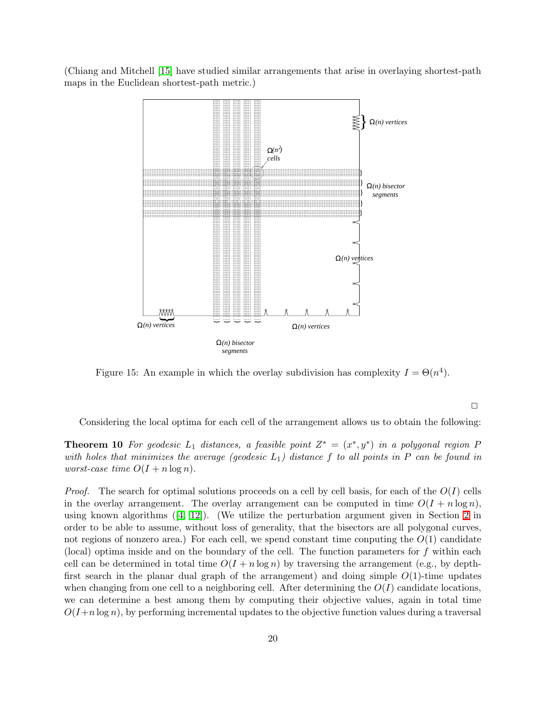(Chiang and Mitchell [\[15\]](#page-25-13) have studied similar arrangements that arise in overlaying shortest-path maps in the Euclidean shortest-path metric.)



<span id="page-19-0"></span>Figure 15: An example in which the overlay subdivision has complexity  $I = \Theta(n^4)$ .

 $\Box$ 

Considering the local optima for each cell of the arrangement allows us to obtain the following:

**Theorem 10** For geodesic  $L_1$  distances, a feasible point  $Z^* = (x^*, y^*)$  in a polygonal region P *with holes that minimizes the average (geodesic* L1*) distance* f *to all points in* P *can be found in worst-case time*  $O(I + n \log n)$ *.* 

*Proof.* The search for optimal solutions proceeds on a cell by cell basis, for each of the  $O(I)$  cells in the overlay arrangement. The overlay arrangement can be computed in time  $O(I + n \log n)$ , using known algorithms  $(4, 12)$ . (We utilize the perturbation argument given in Section [2](#page-3-0) in order to be able to assume, without loss of generality, that the bisectors are all polygonal curves, not regions of nonzero area.) For each cell, we spend constant time conputing the  $O(1)$  candidate (local) optima inside and on the boundary of the cell. The function parameters for  $f$  within each cell can be determined in total time  $O(I + n \log n)$  by traversing the arrangement (e.g., by depthfirst search in the planar dual graph of the arrangement) and doing simple  $O(1)$ -time updates when changing from one cell to a neighboring cell. After determining the  $O(I)$  candidate locations, we can determine a best among them by computing their objective values, again in total time  $O(I+n \log n)$ , by performing incremental updates to the objective function values during a traversal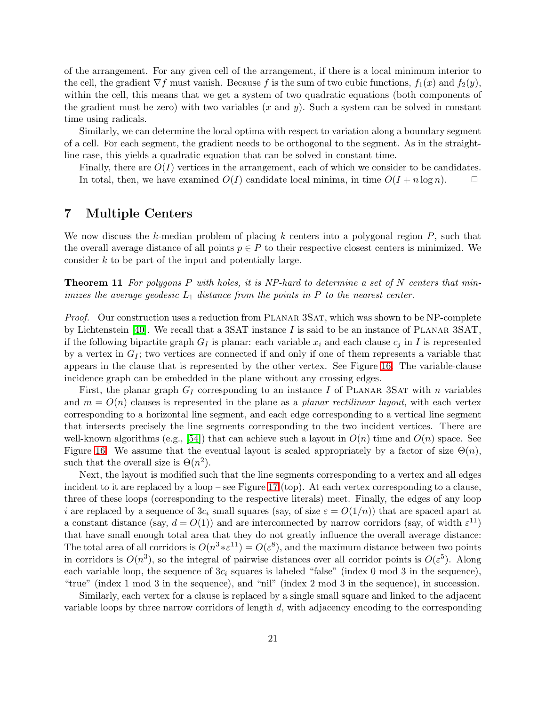of the arrangement. For any given cell of the arrangement, if there is a local minimum interior to the cell, the gradient  $\nabla f$  must vanish. Because f is the sum of two cubic functions,  $f_1(x)$  and  $f_2(y)$ , within the cell, this means that we get a system of two quadratic equations (both components of the gradient must be zero) with two variables  $(x \text{ and } y)$ . Such a system can be solved in constant time using radicals.

Similarly, we can determine the local optima with respect to variation along a boundary segment of a cell. For each segment, the gradient needs to be orthogonal to the segment. As in the straightline case, this yields a quadratic equation that can be solved in constant time.

Finally, there are  $O(I)$  vertices in the arrangement, each of which we consider to be candidates. In total, then, we have examined  $O(I)$  candidate local minima, in time  $O(I + n \log n)$ .  $\Box$ 

# <span id="page-20-0"></span>7 Multiple Centers

We now discuss the k-median problem of placing k centers into a polygonal region  $P$ , such that the overall average distance of all points  $p \in P$  to their respective closest centers is minimized. We consider k to be part of the input and potentially large.

Theorem 11 *For polygons* P *with holes, it is NP-hard to determine a set of* N *centers that minimizes the average geodesic*  $L_1$  *distance from the points in*  $P$  *to the nearest center.* 

*Proof.* Our construction uses a reduction from PLANAR 3SAT, which was shown to be NP-complete by Lichtenstein [\[40\]](#page-27-16). We recall that a 3SAT instance I is said to be an instance of PLANAR 3SAT. if the following bipartite graph  $G_I$  is planar: each variable  $x_i$  and each clause  $c_j$  in I is represented by a vertex in  $G_I$ ; two vertices are connected if and only if one of them represents a variable that appears in the clause that is represented by the other vertex. See Figure [16.](#page-21-0) The variable-clause incidence graph can be embedded in the plane without any crossing edges.

First, the planar graph  $G_I$  corresponding to an instance I of PLANAR 3SAT with n variables and  $m = O(n)$  clauses is represented in the plane as a *planar rectilinear layout*, with each vertex corresponding to a horizontal line segment, and each edge corresponding to a vertical line segment that intersects precisely the line segments corresponding to the two incident vertices. There are well-known algorithms (e.g., [\[54\]](#page-28-14)) that can achieve such a layout in  $O(n)$  time and  $O(n)$  space. See Figure [16.](#page-21-0) We assume that the eventual layout is scaled appropriately by a factor of size  $\Theta(n)$ , such that the overall size is  $\Theta(n^2)$ .

Next, the layout is modified such that the line segments corresponding to a vertex and all edges incident to it are replaced by a loop – see Figure [17](#page-22-0) (top). At each vertex corresponding to a clause, three of these loops (corresponding to the respective literals) meet. Finally, the edges of any loop i are replaced by a sequence of  $3c_i$  small squares (say, of size  $\varepsilon = O(1/n)$ ) that are spaced apart at a constant distance (say,  $d = O(1)$ ) and are interconnected by narrow corridors (say, of width  $\varepsilon^{11}$ ) that have small enough total area that they do not greatly influence the overall average distance: The total area of all corridors is  $O(n^3 * \varepsilon^{11}) = O(\varepsilon^8)$ , and the maximum distance between two points in corridors is  $O(n^3)$ , so the integral of pairwise distances over all corridor points is  $O(\varepsilon^5)$ . Along each variable loop, the sequence of  $3c_i$  squares is labeled "false" (index 0 mod 3 in the sequence), "true" (index 1 mod 3 in the sequence), and "nil" (index 2 mod 3 in the sequence), in succession.

Similarly, each vertex for a clause is replaced by a single small square and linked to the adjacent variable loops by three narrow corridors of length d, with adjacency encoding to the corresponding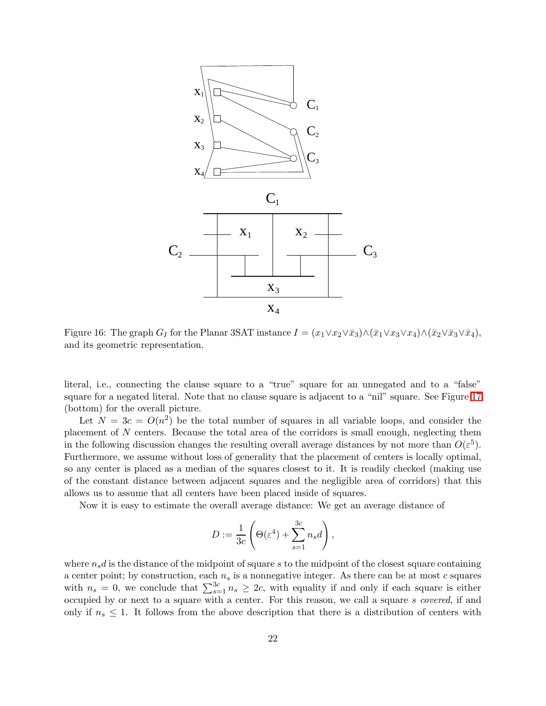

<span id="page-21-0"></span>Figure 16: The graph  $G_I$  for the Planar 3SAT instance  $I = (x_1 \vee x_2 \vee \overline{x}_3) \wedge (\overline{x}_1 \vee x_3 \vee x_4) \wedge (\overline{x}_2 \vee \overline{x}_3 \vee \overline{x}_4)$ , and its geometric representation.

literal, i.e., connecting the clause square to a "true" square for an unnegated and to a "false" square for a negated literal. Note that no clause square is adjacent to a "nil" square. See Figure [17](#page-22-0) (bottom) for the overall picture.

Let  $N = 3c = O(n^2)$  be the total number of squares in all variable loops, and consider the placement of N centers. Because the total area of the corridors is small enough, neglecting them in the following discussion changes the resulting overall average distances by not more than  $O(\varepsilon^5)$ . Furthermore, we assume without loss of generality that the placement of centers is locally optimal, so any center is placed as a median of the squares closest to it. It is readily checked (making use of the constant distance between adjacent squares and the negligible area of corridors) that this allows us to assume that all centers have been placed inside of squares.

Now it is easy to estimate the overall average distance: We get an average distance of

$$
D := \frac{1}{3c} \left( \Theta(\varepsilon^4) + \sum_{s=1}^{3c} n_s d \right),\,
$$

where  $n_s d$  is the distance of the midpoint of square s to the midpoint of the closest square containing a center point; by construction, each  $n<sub>s</sub>$  is a nonnegative integer. As there can be at most c squares with  $n_s = 0$ , we conclude that  $\sum_{s=1}^{3c} n_s \geq 2c$ , with equality if and only if each square is either occupied by or next to a square with a center. For this reason, we call a square s *covered*, if and only if  $n_s \leq 1$ . It follows from the above description that there is a distribution of centers with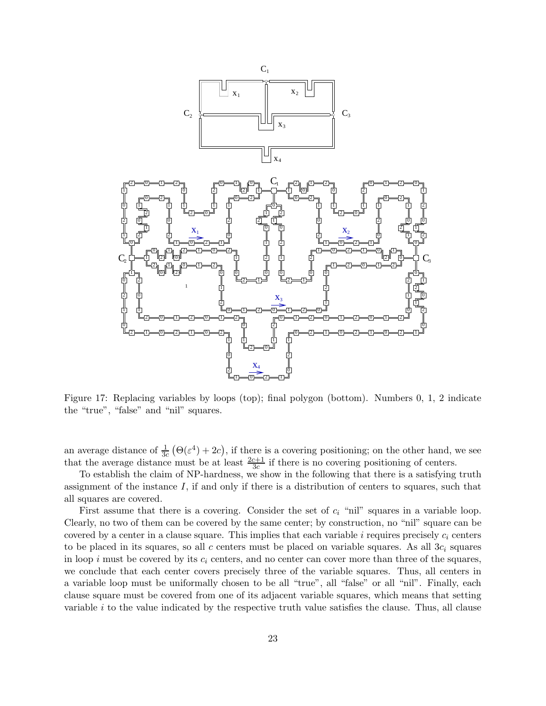

<span id="page-22-0"></span>Figure 17: Replacing variables by loops (top); final polygon (bottom). Numbers 0, 1, 2 indicate the "true", "false" and "nil" squares.

an average distance of  $\frac{1}{3c}(\Theta(\varepsilon^4)+2c)$ , if there is a covering positioning; on the other hand, we see that the average distance must be at least  $\frac{2c+1}{3c}$  if there is no covering positioning of centers.

To establish the claim of NP-hardness, we show in the following that there is a satisfying truth assignment of the instance I, if and only if there is a distribution of centers to squares, such that all squares are covered.

First assume that there is a covering. Consider the set of  $c_i$  "nil" squares in a variable loop. Clearly, no two of them can be covered by the same center; by construction, no "nil" square can be covered by a center in a clause square. This implies that each variable i requires precisely  $c_i$  centers to be placed in its squares, so all c centers must be placed on variable squares. As all  $3c_i$  squares in loop i must be covered by its  $c_i$  centers, and no center can cover more than three of the squares, we conclude that each center covers precisely three of the variable squares. Thus, all centers in a variable loop must be uniformally chosen to be all "true", all "false" or all "nil". Finally, each clause square must be covered from one of its adjacent variable squares, which means that setting variable  $i$  to the value indicated by the respective truth value satisfies the clause. Thus, all clause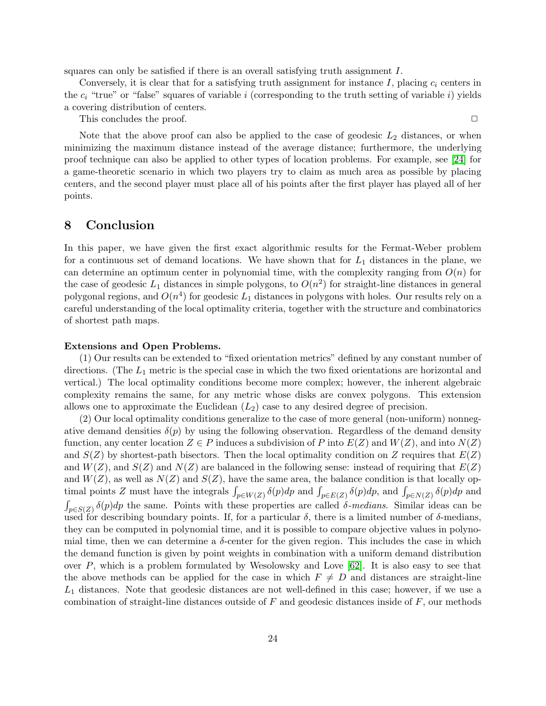squares can only be satisfied if there is an overall satisfying truth assignment I.

Conversely, it is clear that for a satisfying truth assignment for instance I, placing  $c_i$  centers in the  $c_i$  "true" or "false" squares of variable i (corresponding to the truth setting of variable i) yields a covering distribution of centers.

This concludes the proof.  $\Box$ 

Note that the above proof can also be applied to the case of geodesic  $L_2$  distances, or when minimizing the maximum distance instead of the average distance; furthermore, the underlying proof technique can also be applied to other types of location problems. For example, see [\[24\]](#page-26-16) for a game-theoretic scenario in which two players try to claim as much area as possible by placing centers, and the second player must place all of his points after the first player has played all of her points.

# <span id="page-23-0"></span>8 Conclusion

In this paper, we have given the first exact algorithmic results for the Fermat-Weber problem for a continuous set of demand locations. We have shown that for  $L_1$  distances in the plane, we can determine an optimum center in polynomial time, with the complexity ranging from  $O(n)$  for the case of geodesic  $L_1$  distances in simple polygons, to  $O(n^2)$  for straight-line distances in general polygonal regions, and  $O(n^4)$  for geodesic  $L_1$  distances in polygons with holes. Our results rely on a careful understanding of the local optimality criteria, together with the structure and combinatorics of shortest path maps.

#### Extensions and Open Problems.

(1) Our results can be extended to "fixed orientation metrics" defined by any constant number of directions. (The  $L_1$  metric is the special case in which the two fixed orientations are horizontal and vertical.) The local optimality conditions become more complex; however, the inherent algebraic complexity remains the same, for any metric whose disks are convex polygons. This extension allows one to approximate the Euclidean  $(L_2)$  case to any desired degree of precision.

(2) Our local optimality conditions generalize to the case of more general (non-uniform) nonnegative demand densities  $\delta(p)$  by using the following observation. Regardless of the demand density function, any center location  $Z \in P$  induces a subdivision of P into  $E(Z)$  and  $W(Z)$ , and into  $N(Z)$ and  $S(Z)$  by shortest-path bisectors. Then the local optimality condition on Z requires that  $E(Z)$ and  $W(Z)$ , and  $S(Z)$  and  $N(Z)$  are balanced in the following sense: instead of requiring that  $E(Z)$ and  $W(Z)$ , as well as  $N(Z)$  and  $S(Z)$ , have the same area, the balance condition is that locally optimal points Z must have the integrals  $\int_{p\in W(Z)} \delta(p) dp$  and  $\int_{p\in E(Z)} \delta(p) dp$ , and  $\int_{p\in N(Z)} \delta(p) dp$  and  $\int_{p\in S(Z)} \delta(p) dp$  the same. Points with these properties are called *δ*-medians. Similar ideas can be used for describing boundary points. If, for a particular  $\delta$ , there is a limited number of  $\delta$ -medians, they can be computed in polynomial time, and it is possible to compare objective values in polynomial time, then we can determine a  $\delta$ -center for the given region. This includes the case in which the demand function is given by point weights in combination with a uniform demand distribution over P, which is a problem formulated by Wesolowsky and Love [\[62\]](#page-28-10). It is also easy to see that the above methods can be applied for the case in which  $F \neq D$  and distances are straight-line  $L_1$  distances. Note that geodesic distances are not well-defined in this case; however, if we use a combination of straight-line distances outside of  $F$  and geodesic distances inside of  $F$ , our methods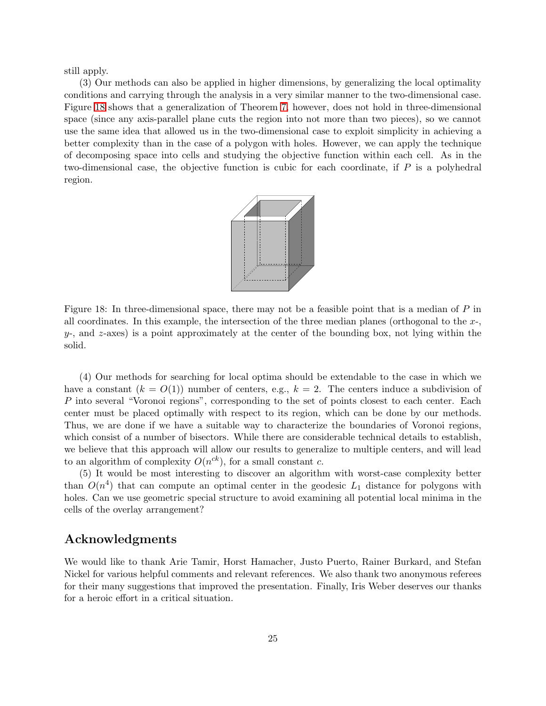still apply.

(3) Our methods can also be applied in higher dimensions, by generalizing the local optimality conditions and carrying through the analysis in a very similar manner to the two-dimensional case. Figure [18](#page-24-0) shows that a generalization of Theorem [7,](#page-15-0) however, does not hold in three-dimensional space (since any axis-parallel plane cuts the region into not more than two pieces), so we cannot use the same idea that allowed us in the two-dimensional case to exploit simplicity in achieving a better complexity than in the case of a polygon with holes. However, we can apply the technique of decomposing space into cells and studying the objective function within each cell. As in the two-dimensional case, the objective function is cubic for each coordinate, if  $P$  is a polyhedral region.



<span id="page-24-0"></span>Figure 18: In three-dimensional space, there may not be a feasible point that is a median of P in all coordinates. In this example, the intersection of the three median planes (orthogonal to the  $x<sub>z</sub>$ ,  $y$ -, and z-axes) is a point approximately at the center of the bounding box, not lying within the solid.

(4) Our methods for searching for local optima should be extendable to the case in which we have a constant  $(k = O(1))$  number of centers, e.g.,  $k = 2$ . The centers induce a subdivision of P into several "Voronoi regions", corresponding to the set of points closest to each center. Each center must be placed optimally with respect to its region, which can be done by our methods. Thus, we are done if we have a suitable way to characterize the boundaries of Voronoi regions, which consist of a number of bisectors. While there are considerable technical details to establish, we believe that this approach will allow our results to generalize to multiple centers, and will lead to an algorithm of complexity  $O(n^{ck})$ , for a small constant c.

(5) It would be most interesting to discover an algorithm with worst-case complexity better than  $O(n^4)$  that can compute an optimal center in the geodesic  $L_1$  distance for polygons with holes. Can we use geometric special structure to avoid examining all potential local minima in the cells of the overlay arrangement?

# Acknowledgments

We would like to thank Arie Tamir, Horst Hamacher, Justo Puerto, Rainer Burkard, and Stefan Nickel for various helpful comments and relevant references. We also thank two anonymous referees for their many suggestions that improved the presentation. Finally, Iris Weber deserves our thanks for a heroic effort in a critical situation.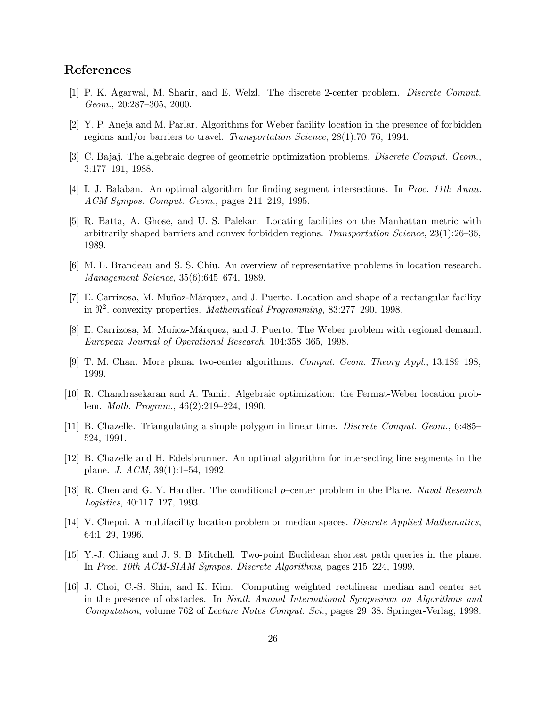# <span id="page-25-1"></span>References

- <span id="page-25-5"></span>[1] P. K. Agarwal, M. Sharir, and E. Welzl. The discrete 2-center problem. *Discrete Comput. Geom.*, 20:287–305, 2000.
- <span id="page-25-10"></span>[2] Y. P. Aneja and M. Parlar. Algorithms for Weber facility location in the presence of forbidden regions and/or barriers to travel. *Transportation Science*, 28(1):70–76, 1994.
- <span id="page-25-14"></span>[3] C. Bajaj. The algebraic degree of geometric optimization problems. *Discrete Comput. Geom.*, 3:177–191, 1988.
- <span id="page-25-6"></span>[4] I. J. Balaban. An optimal algorithm for finding segment intersections. In *Proc. 11th Annu. ACM Sympos. Comput. Geom.*, pages 211–219, 1995.
- [5] R. Batta, A. Ghose, and U. S. Palekar. Locating facilities on the Manhattan metric with arbitrarily shaped barriers and convex forbidden regions. *Transportation Science*, 23(1):26–36, 1989.
- <span id="page-25-2"></span>[6] M. L. Brandeau and S. S. Chiu. An overview of representative problems in location research. *Management Science*, 35(6):645–674, 1989.
- <span id="page-25-4"></span><span id="page-25-3"></span>[7] E. Carrizosa, M. Muñoz-Márquez, and J. Puerto. Location and shape of a rectangular facility in ℜ 2 . convexity properties. *Mathematical Programming*, 83:277–290, 1998.
- [8] E. Carrizosa, M. Muñoz-Márquez, and J. Puerto. The Weber problem with regional demand. *European Journal of Operational Research*, 104:358–365, 1998.
- <span id="page-25-0"></span>[9] T. M. Chan. More planar two-center algorithms. *Comput. Geom. Theory Appl.*, 13:189–198, 1999.
- <span id="page-25-12"></span><span id="page-25-11"></span>[10] R. Chandrasekaran and A. Tamir. Algebraic optimization: the Fermat-Weber location problem. *Math. Program.*, 46(2):219–224, 1990.
- <span id="page-25-15"></span>[11] B. Chazelle. Triangulating a simple polygon in linear time. *Discrete Comput. Geom.*, 6:485– 524, 1991.
- <span id="page-25-7"></span>[12] B. Chazelle and H. Edelsbrunner. An optimal algorithm for intersecting line segments in the plane. *J. ACM*, 39(1):1–54, 1992.
- <span id="page-25-8"></span>[13] R. Chen and G. Y. Handler. The conditional p–center problem in the Plane. *Naval Research Logistics*, 40:117–127, 1993.
- <span id="page-25-13"></span>[14] V. Chepoi. A multifacility location problem on median spaces. *Discrete Applied Mathematics*, 64:1–29, 1996.
- [15] Y.-J. Chiang and J. S. B. Mitchell. Two-point Euclidean shortest path queries in the plane. In *Proc. 10th ACM-SIAM Sympos. Discrete Algorithms*, pages 215–224, 1999.
- <span id="page-25-9"></span>[16] J. Choi, C.-S. Shin, and K. Kim. Computing weighted rectilinear median and center set in the presence of obstacles. In *Ninth Annual International Symposium on Algorithms and Computation*, volume 762 of *Lecture Notes Comput. Sci.*, pages 29–38. Springer-Verlag, 1998.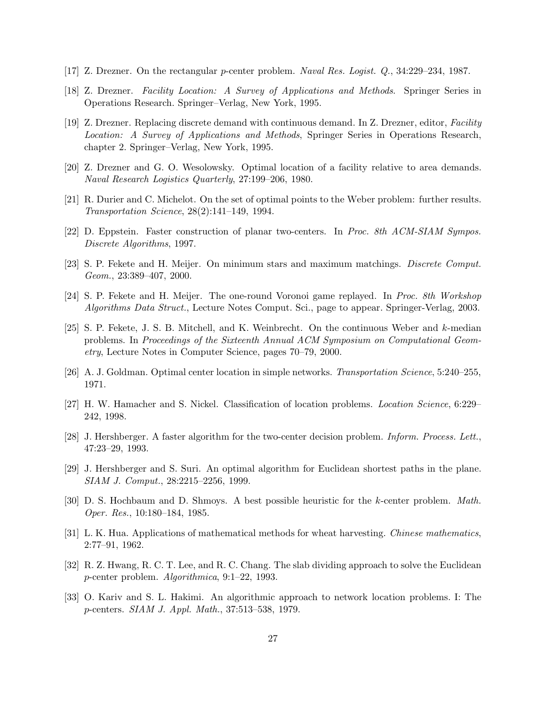- <span id="page-26-5"></span><span id="page-26-2"></span>[17] Z. Drezner. On the rectangular p-center problem. *Naval Res. Logist. Q.*, 34:229–234, 1987.
- <span id="page-26-10"></span>[18] Z. Drezner. *Facility Location: A Survey of Applications and Methods*. Springer Series in Operations Research. Springer–Verlag, New York, 1995.
- [19] Z. Drezner. Replacing discrete demand with continuous demand. In Z. Drezner, editor, *Facility Location: A Survey of Applications and Methods*, Springer Series in Operations Research, chapter 2. Springer–Verlag, New York, 1995.
- <span id="page-26-12"></span><span id="page-26-11"></span>[20] Z. Drezner and G. O. Wesolowsky. Optimal location of a facility relative to area demands. *Naval Research Logistics Quarterly*, 27:199–206, 1980.
- <span id="page-26-3"></span>[21] R. Durier and C. Michelot. On the set of optimal points to the Weber problem: further results. *Transportation Science*, 28(2):141–149, 1994.
- <span id="page-26-1"></span>[22] D. Eppstein. Faster construction of planar two-centers. In *Proc. 8th ACM-SIAM Sympos. Discrete Algorithms*, 1997.
- [23] S. P. Fekete and H. Meijer. On minimum stars and maximum matchings. *Discrete Comput. Geom.*, 23:389–407, 2000.
- <span id="page-26-16"></span><span id="page-26-0"></span>[24] S. P. Fekete and H. Meijer. The one-round Voronoi game replayed. In *Proc. 8th Workshop Algorithms Data Struct.*, Lecture Notes Comput. Sci., page to appear. Springer-Verlag, 2003.
- [25] S. P. Fekete, J. S. B. Mitchell, and K. Weinbrecht. On the continuous Weber and k-median problems. In *Proceedings of the Sixteenth Annual ACM Symposium on Computational Geometry*, Lecture Notes in Computer Science, pages 70–79, 2000.
- <span id="page-26-14"></span><span id="page-26-4"></span>[26] A. J. Goldman. Optimal center location in simple networks. *Transportation Science*, 5:240–255, 1971.
- <span id="page-26-6"></span>[27] H. W. Hamacher and S. Nickel. Classification of location problems. *Location Science*, 6:229– 242, 1998.
- <span id="page-26-13"></span>[28] J. Hershberger. A faster algorithm for the two-center decision problem. *Inform. Process. Lett.*, 47:23–29, 1993.
- <span id="page-26-7"></span>[29] J. Hershberger and S. Suri. An optimal algorithm for Euclidean shortest paths in the plane. *SIAM J. Comput.*, 28:2215–2256, 1999.
- <span id="page-26-15"></span>[30] D. S. Hochbaum and D. Shmoys. A best possible heuristic for the k-center problem. *Math. Oper. Res.*, 10:180–184, 1985.
- <span id="page-26-8"></span>[31] L. K. Hua. Applications of mathematical methods for wheat harvesting. *Chinese mathematics*, 2:77–91, 1962.
- <span id="page-26-9"></span>[32] R. Z. Hwang, R. C. T. Lee, and R. C. Chang. The slab dividing approach to solve the Euclidean p-center problem. *Algorithmica*, 9:1–22, 1993.
- [33] O. Kariv and S. L. Hakimi. An algorithmic approach to network location problems. I: The p-centers. *SIAM J. Appl. Math.*, 37:513–538, 1979.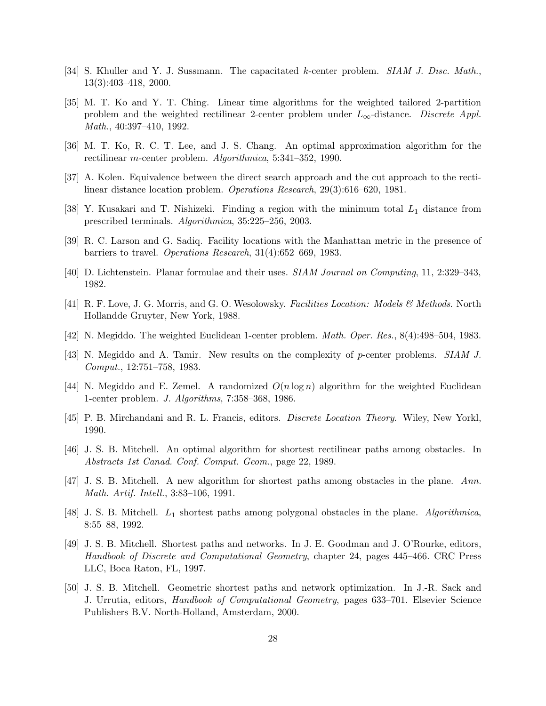- <span id="page-27-3"></span><span id="page-27-2"></span>[34] S. Khuller and Y. J. Sussmann. The capacitated k-center problem. *SIAM J. Disc. Math.*, 13(3):403–418, 2000.
- [35] M. T. Ko and Y. T. Ching. Linear time algorithms for the weighted tailored 2-partition problem and the weighted rectilinear 2-center problem under L∞-distance. *Discrete Appl. Math.*, 40:397–410, 1992.
- <span id="page-27-4"></span>[36] M. T. Ko, R. C. T. Lee, and J. S. Chang. An optimal approximation algorithm for the rectilinear m-center problem. *Algorithmica*, 5:341–352, 1990.
- <span id="page-27-9"></span><span id="page-27-8"></span>[37] A. Kolen. Equivalence between the direct search approach and the cut approach to the rectilinear distance location problem. *Operations Research*, 29(3):616–620, 1981.
- <span id="page-27-10"></span>[38] Y. Kusakari and T. Nishizeki. Finding a region with the minimum total  $L_1$  distance from prescribed terminals. *Algorithmica*, 35:225–256, 2003.
- <span id="page-27-16"></span>[39] R. C. Larson and G. Sadiq. Facility locations with the Manhattan metric in the presence of barriers to travel. *Operations Research*, 31(4):652–669, 1983.
- <span id="page-27-7"></span>[40] D. Lichtenstein. Planar formulae and their uses. *SIAM Journal on Computing*, 11, 2:329–343, 1982.
- <span id="page-27-5"></span>[41] R. F. Love, J. G. Morris, and G. O. Wesolowsky. *Facilities Location: Models & Methods*. North Hollandde Gruyter, New York, 1988.
- <span id="page-27-1"></span>[42] N. Megiddo. The weighted Euclidean 1-center problem. *Math. Oper. Res.*, 8(4):498–504, 1983.
- <span id="page-27-6"></span>[43] N. Megiddo and A. Tamir. New results on the complexity of p-center problems. *SIAM J. Comput.*, 12:751–758, 1983.
- <span id="page-27-0"></span>[44] N. Megiddo and E. Zemel. A randomized  $O(n \log n)$  algorithm for the weighted Euclidean 1-center problem. *J. Algorithms*, 7:358–368, 1986.
- <span id="page-27-13"></span>[45] P. B. Mirchandani and R. L. Francis, editors. *Discrete Location Theory*. Wiley, New Yorkl, 1990.
- <span id="page-27-15"></span>[46] J. S. B. Mitchell. An optimal algorithm for shortest rectilinear paths among obstacles. In *Abstracts 1st Canad. Conf. Comput. Geom.*, page 22, 1989.
- <span id="page-27-14"></span>[47] J. S. B. Mitchell. A new algorithm for shortest paths among obstacles in the plane. *Ann. Math. Artif. Intell.*, 3:83–106, 1991.
- [48] J. S. B. Mitchell. L<sup>1</sup> shortest paths among polygonal obstacles in the plane. *Algorithmica*, 8:55–88, 1992.
- <span id="page-27-11"></span>[49] J. S. B. Mitchell. Shortest paths and networks. In J. E. Goodman and J. O'Rourke, editors, *Handbook of Discrete and Computational Geometry*, chapter 24, pages 445–466. CRC Press LLC, Boca Raton, FL, 1997.
- <span id="page-27-12"></span>[50] J. S. B. Mitchell. Geometric shortest paths and network optimization. In J.-R. Sack and J. Urrutia, editors, *Handbook of Computational Geometry*, pages 633–701. Elsevier Science Publishers B.V. North-Holland, Amsterdam, 2000.